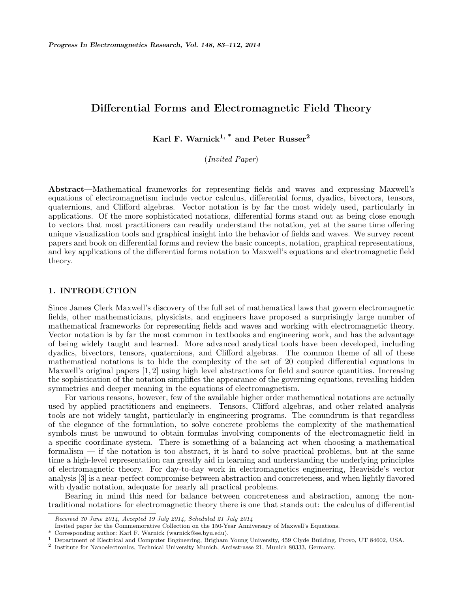# Differential Forms and Electromagnetic Field Theory

Karl F. Warnick<sup>1, \*</sup> and Peter Russer<sup>2</sup>

(Invited Paper)

Abstract—Mathematical frameworks for representing fields and waves and expressing Maxwell's equations of electromagnetism include vector calculus, differential forms, dyadics, bivectors, tensors, quaternions, and Clifford algebras. Vector notation is by far the most widely used, particularly in applications. Of the more sophisticated notations, differential forms stand out as being close enough to vectors that most practitioners can readily understand the notation, yet at the same time offering unique visualization tools and graphical insight into the behavior of fields and waves. We survey recent papers and book on differential forms and review the basic concepts, notation, graphical representations, and key applications of the differential forms notation to Maxwell's equations and electromagnetic field theory.

#### 1. INTRODUCTION

Since James Clerk Maxwell's discovery of the full set of mathematical laws that govern electromagnetic fields, other mathematicians, physicists, and engineers have proposed a surprisingly large number of mathematical frameworks for representing fields and waves and working with electromagnetic theory. Vector notation is by far the most common in textbooks and engineering work, and has the advantage of being widely taught and learned. More advanced analytical tools have been developed, including dyadics, bivectors, tensors, quaternions, and Clifford algebras. The common theme of all of these mathematical notations is to hide the complexity of the set of 20 coupled differential equations in Maxwell's original papers [1, 2] using high level abstractions for field and source quantities. Increasing the sophistication of the notation simplifies the appearance of the governing equations, revealing hidden symmetries and deeper meaning in the equations of electromagnetism.

For various reasons, however, few of the available higher order mathematical notations are actually used by applied practitioners and engineers. Tensors, Clifford algebras, and other related analysis tools are not widely taught, particularly in engineering programs. The conundrum is that regardless of the elegance of the formulation, to solve concrete problems the complexity of the mathematical symbols must be unwound to obtain formulas involving components of the electromagnetic field in a specific coordinate system. There is something of a balancing act when choosing a mathematical formalism — if the notation is too abstract, it is hard to solve practical problems, but at the same time a high-level representation can greatly aid in learning and understanding the underlying principles of electromagnetic theory. For day-to-day work in electromagnetics engineering, Heaviside's vector analysis [3] is a near-perfect compromise between abstraction and concreteness, and when lightly flavored with dyadic notation, adequate for nearly all practical problems.

Bearing in mind this need for balance between concreteness and abstraction, among the nontraditional notations for electromagnetic theory there is one that stands out: the calculus of differential

Received 30 June 2014, Accepted 19 July 2014, Scheduled 21 July 2014

Invited paper for the Commemorative Collection on the 150-Year Anniversary of Maxwell's Equations.

<sup>\*</sup> Corresponding author: Karl F. Warnick (warnick@ee.byu.edu).

<sup>1</sup> Department of Electrical and Computer Engineering, Brigham Young University, 459 Clyde Building, Provo, UT 84602, USA.

<sup>2</sup> Institute for Nanoelectronics, Technical University Munich, Arcisstrasse 21, Munich 80333, Germany.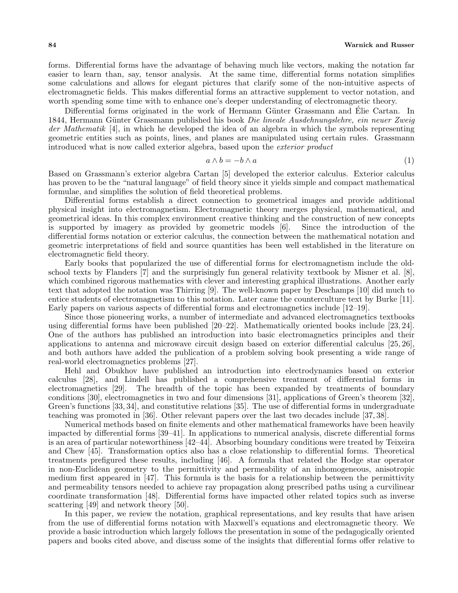forms. Differential forms have the advantage of behaving much like vectors, making the notation far easier to learn than, say, tensor analysis. At the same time, differential forms notation simplifies some calculations and allows for elegant pictures that clarify some of the non-intuitive aspects of electromagnetic fields. This makes differential forms an attractive supplement to vector notation, and worth spending some time with to enhance one's deeper understanding of electromagnetic theory.

Differential forms originated in the work of Hermann Günter Grassmann and Élie Cartan. In 1844, Hermann Günter Grassmann published his book Die lineale Ausdehnungslehre, ein neuer Zweig der Mathematik [4], in which he developed the idea of an algebra in which the symbols representing geometric entities such as points, lines, and planes are manipulated using certain rules. Grassmann introduced what is now called exterior algebra, based upon the exterior product

$$
a \wedge b = -b \wedge a \tag{1}
$$

Based on Grassmann's exterior algebra Cartan [5] developed the exterior calculus. Exterior calculus has proven to be the "natural language" of field theory since it yields simple and compact mathematical formulae, and simplifies the solution of field theoretical problems.

Differential forms establish a direct connection to geometrical images and provide additional physical insight into electromagnetism. Electromagnetic theory merges physical, mathematical, and geometrical ideas. In this complex environment creative thinking and the construction of new concepts is supported by imagery as provided by geometric models [6]. Since the introduction of the differential forms notation or exterior calculus, the connection between the mathematical notation and geometric interpretations of field and source quantities has been well established in the literature on electromagnetic field theory.

Early books that popularized the use of differential forms for electromagnetism include the oldschool texts by Flanders [7] and the surprisingly fun general relativity textbook by Misner et al. [8], which combined rigorous mathematics with clever and interesting graphical illustrations. Another early text that adopted the notation was Thirring [9]. The well-known paper by Deschamps [10] did much to entice students of electromagnetism to this notation. Later came the counterculture text by Burke [11]. Early papers on various aspects of differential forms and electromagnetics include [12–19].

Since those pioneering works, a number of intermediate and advanced electromagnetics textbooks using differential forms have been published [20–22]. Mathematically oriented books include [23, 24]. One of the authors has published an introduction into basic electromagnetics principles and their applications to antenna and microwave circuit design based on exterior differential calculus [25, 26], and both authors have added the publication of a problem solving book presenting a wide range of real-world electromagnetics problems [27].

Hehl and Obukhov have published an introduction into electrodynamics based on exterior calculus [28], and Lindell has published a comprehensive treatment of differential forms in electromagnetics [29]. The breadth of the topic has been expanded by treatments of boundary conditions [30], electromagnetics in two and four dimensions [31], applications of Green's theorem [32], Green's functions [33, 34], and constitutive relations [35]. The use of differential forms in undergraduate teaching was promoted in [36]. Other relevant papers over the last two decades include [37, 38].

Numerical methods based on finite elements and other mathematical frameworks have been heavily impacted by differential forms [39–41]. In applications to numerical analysis, discrete differential forms is an area of particular noteworthiness [42–44]. Absorbing boundary conditions were treated by Teixeira and Chew [45]. Transformation optics also has a close relationship to differential forms. Theoretical treatments prefigured these results, including [46]. A formula that related the Hodge star operator in non-Euclidean geometry to the permittivity and permeability of an inhomogeneous, anisotropic medium first appeared in [47]. This formula is the basis for a relationship between the permittivity and permeability tensors needed to achieve ray propagation along prescribed paths using a curvilinear coordinate transformation [48]. Differential forms have impacted other related topics such as inverse scattering [49] and network theory [50].

In this paper, we review the notation, graphical representations, and key results that have arisen from the use of differential forms notation with Maxwell's equations and electromagnetic theory. We provide a basic introduction which largely follows the presentation in some of the pedagogically oriented papers and books cited above, and discuss some of the insights that differential forms offer relative to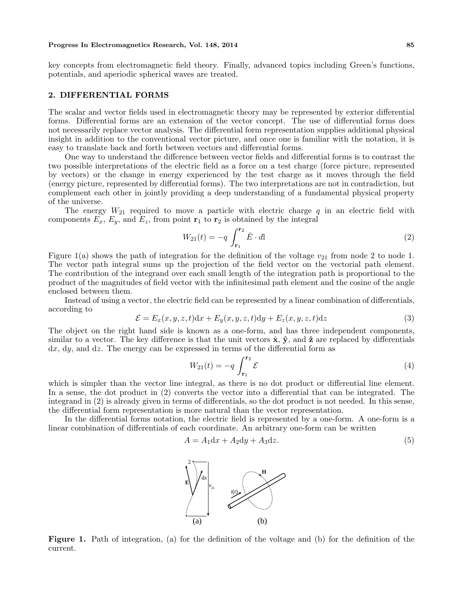#### Progress In Electromagnetics Research, Vol. 148, 2014 85

key concepts from electromagnetic field theory. Finally, advanced topics including Green's functions, potentials, and aperiodic spherical waves are treated.

## 2. DIFFERENTIAL FORMS

The scalar and vector fields used in electromagnetic theory may be represented by exterior differential forms. Differential forms are an extension of the vector concept. The use of differential forms does not necessarily replace vector analysis. The differential form representation supplies additional physical insight in addition to the conventional vector picture, and once one is familiar with the notation, it is easy to translate back and forth between vectors and differential forms.

One way to understand the difference between vector fields and differential forms is to contrast the two possible interpretations of the electric field as a force on a test charge (force picture, represented by vectors) or the change in energy experienced by the test charge as it moves through the field (energy picture, represented by differential forms). The two interpretations are not in contradiction, but complement each other in jointly providing a deep understanding of a fundamental physical property of the universe.

The energy  $W_{21}$  required to move a particle with electric charge q in an electric field with components  $E_x$ ,  $E_y$ , and  $E_z$ , from point  $\mathbf{r}_1$  to  $\mathbf{r}_2$  is obtained by the integral

$$
W_{21}(t) = -q \int_{\mathbf{r}_1}^{\mathbf{r}_2} \bar{E} \cdot d\mathbf{l}
$$
 (2)

Figure 1(a) shows the path of integration for the definition of the voltage  $v_{21}$  from node 2 to node 1. The vector path integral sums up the projection of the field vector on the vectorial path element. The contribution of the integrand over each small length of the integration path is proportional to the product of the magnitudes of field vector with the infinitesimal path element and the cosine of the angle enclosed between them.

Instead of using a vector, the electric field can be represented by a linear combination of differentials, according to

$$
\mathcal{E} = E_x(x, y, z, t)dx + E_y(x, y, z, t)dy + E_z(x, y, z, t)dz
$$
\n(3)

The object on the right hand side is known as a one-form, and has three independent components, similar to a vector. The key difference is that the unit vectors  $\hat{\mathbf{x}}, \hat{\mathbf{y}}$ , and  $\hat{\mathbf{z}}$  are replaced by differentials dx, dy, and dz. The energy can be expressed in terms of the differential form as

$$
W_{21}(t) = -q \int_{\mathbf{r}_1}^{\mathbf{r}_2} \mathcal{E}
$$
 (4)

which is simpler than the vector line integral, as there is no dot product or differential line element. In a sense, the dot product in (2) converts the vector into a differential that can be integrated. The integrand in (2) is already given in terms of differentials, so the dot product is not needed. In this sense, the differential form representation is more natural than the vector representation.

In the differential forms notation, the electric field is represented by a one-form. A one-form is a linear combination of differentials of each coordinate. An arbitrary one-form can be written

$$
A = A_1 \mathrm{d}x + A_2 \mathrm{d}y + A_3 \mathrm{d}z. \tag{5}
$$



Figure 1. Path of integration, (a) for the definition of the voltage and (b) for the definition of the current.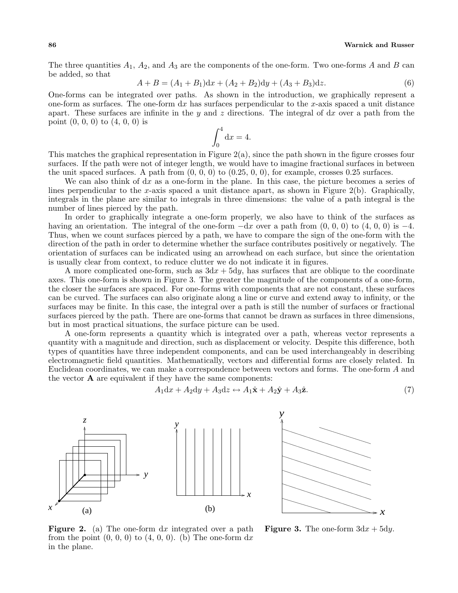The three quantities  $A_1$ ,  $A_2$ , and  $A_3$  are the components of the one-form. Two one-forms A and B can be added, so that

$$
A + B = (A_1 + B_1)dx + (A_2 + B_2)dy + (A_3 + B_3)dz.
$$
\n(6)

One-forms can be integrated over paths. As shown in the introduction, we graphically represent a one-form as surfaces. The one-form  $dx$  has surfaces perpendicular to the x-axis spaced a unit distance apart. These surfaces are infinite in the y and z directions. The integral of  $dx$  over a path from the point  $(0, 0, 0)$  to  $(4, 0, 0)$  is

$$
\int_0^4 \mathrm{d}x = 4.
$$

This matches the graphical representation in Figure  $2(a)$ , since the path shown in the figure crosses four surfaces. If the path were not of integer length, we would have to imagine fractional surfaces in between the unit spaced surfaces. A path from  $(0, 0, 0)$  to  $(0.25, 0, 0)$ , for example, crosses 0.25 surfaces.

We can also think of  $dx$  as a one-form in the plane. In this case, the picture becomes a series of lines perpendicular to the x-axis spaced a unit distance apart, as shown in Figure  $2(b)$ . Graphically, integrals in the plane are similar to integrals in three dimensions: the value of a path integral is the number of lines pierced by the path.

In order to graphically integrate a one-form properly, we also have to think of the surfaces as having an orientation. The integral of the one-form  $-dx$  over a path from  $(0, 0, 0)$  to  $(4, 0, 0)$  is  $-4$ . Thus, when we count surfaces pierced by a path, we have to compare the sign of the one-form with the direction of the path in order to determine whether the surface contributes positively or negatively. The orientation of surfaces can be indicated using an arrowhead on each surface, but since the orientation is usually clear from context, to reduce clutter we do not indicate it in figures.

A more complicated one-form, such as  $3dx + 5dy$ , has surfaces that are oblique to the coordinate axes. This one-form is shown in Figure 3. The greater the magnitude of the components of a one-form, the closer the surfaces are spaced. For one-forms with components that are not constant, these surfaces can be curved. The surfaces can also originate along a line or curve and extend away to infinity, or the surfaces may be finite. In this case, the integral over a path is still the number of surfaces or fractional surfaces pierced by the path. There are one-forms that cannot be drawn as surfaces in three dimensions, but in most practical situations, the surface picture can be used.

A one-form represents a quantity which is integrated over a path, whereas vector represents a quantity with a magnitude and direction, such as displacement or velocity. Despite this difference, both types of quantities have three independent components, and can be used interchangeably in describing electromagnetic field quantities. Mathematically, vectors and differential forms are closely related. In Euclidean coordinates, we can make a correspondence between vectors and forms. The one-form A and the vector  $\bf{A}$  are equivalent if they have the same components:

$$
A_1 \mathrm{d}x + A_2 \mathrm{d}y + A_3 \mathrm{d}z \leftrightarrow A_1 \hat{\mathbf{x}} + A_2 \hat{\mathbf{y}} + A_3 \hat{\mathbf{z}}.\tag{7}
$$



*y y*

**Figure 2.** (a) The one-form  $dx$  integrated over a path from the point  $(0, 0, 0)$  to  $(4, 0, 0)$ . (b) The one-form  $dx$ in the plane.

**Figure 3.** The one-form  $3dx + 5dy$ .

*x*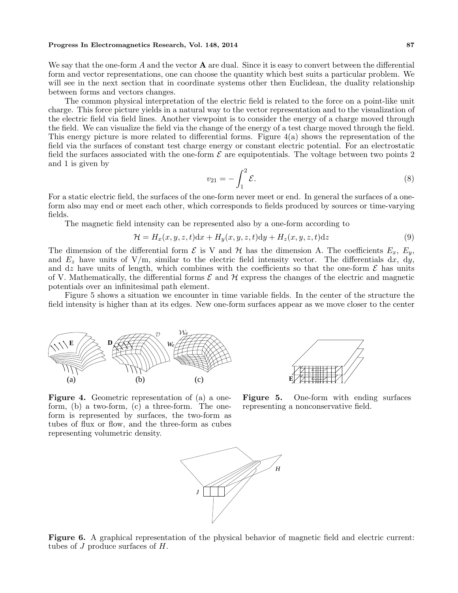#### Progress In Electromagnetics Research, Vol. 148, 2014 87

We say that the one-form  $A$  and the vector  $A$  are dual. Since it is easy to convert between the differential form and vector representations, one can choose the quantity which best suits a particular problem. We will see in the next section that in coordinate systems other then Euclidean, the duality relationship between forms and vectors changes.

The common physical interpretation of the electric field is related to the force on a point-like unit charge. This force picture yields in a natural way to the vector representation and to the visualization of the electric field via field lines. Another viewpoint is to consider the energy of a charge moved through the field. We can visualize the field via the change of the energy of a test charge moved through the field. This energy picture is more related to differential forms. Figure 4(a) shows the representation of the field via the surfaces of constant test charge energy or constant electric potential. For an electrostatic field the surfaces associated with the one-form  $\mathcal E$  are equipotentials. The voltage between two points 2 and 1 is given by

$$
v_{21} = -\int_1^2 \mathcal{E}.\tag{8}
$$

For a static electric field, the surfaces of the one-form never meet or end. In general the surfaces of a oneform also may end or meet each other, which corresponds to fields produced by sources or time-varying fields.

The magnetic field intensity can be represented also by a one-form according to

$$
\mathcal{H} = H_x(x, y, z, t)dx + H_y(x, y, z, t)dy + H_z(x, y, z, t)dz
$$
\n(9)

The dimension of the differential form  $\mathcal E$  is V and  $\mathcal H$  has the dimension A. The coefficients  $E_x, E_y$ , and  $E_z$  have units of V/m, similar to the electric field intensity vector. The differentials dx, dy, and dz have units of length, which combines with the coefficients so that the one-form  $\mathcal E$  has units of V. Mathematically, the differential forms  $\mathcal E$  and  $\mathcal H$  express the changes of the electric and magnetic potentials over an infinitesimal path element.

Figure 5 shows a situation we encounter in time variable fields. In the center of the structure the field intensity is higher than at its edges. New one-form surfaces appear as we move closer to the center



Figure 4. Geometric representation of (a) a oneform, (b) a two-form, (c) a three-form. The oneform is represented by surfaces, the two-form as tubes of flux or flow, and the three-form as cubes representing volumetric density.



Figure 5. One-form with ending surfaces representing a nonconservative field.



Figure 6. A graphical representation of the physical behavior of magnetic field and electric current: tubes of  $J$  produce surfaces of  $H$ .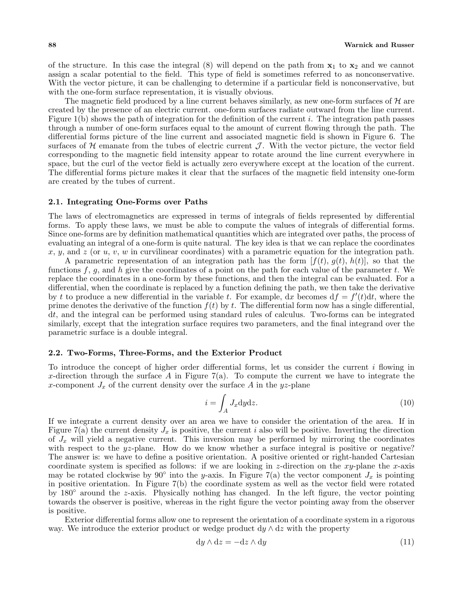of the structure. In this case the integral  $(8)$  will depend on the path from  $x_1$  to  $x_2$  and we cannot assign a scalar potential to the field. This type of field is sometimes referred to as nonconservative. With the vector picture, it can be challenging to determine if a particular field is nonconservative, but with the one-form surface representation, it is visually obvious.

The magnetic field produced by a line current behaves similarly, as new one-form surfaces of  $H$  are created by the presence of an electric current. one-form surfaces radiate outward from the line current. Figure  $1(b)$  shows the path of integration for the definition of the current i. The integration path passes through a number of one-form surfaces equal to the amount of current flowing through the path. The differential forms picture of the line current and associated magnetic field is shown in Figure 6. The surfaces of H emanate from the tubes of electric current  $\mathcal{J}$ . With the vector picture, the vector field corresponding to the magnetic field intensity appear to rotate around the line current everywhere in space, but the curl of the vector field is actually zero everywhere except at the location of the current. The differential forms picture makes it clear that the surfaces of the magnetic field intensity one-form are created by the tubes of current.

## 2.1. Integrating One-Forms over Paths

The laws of electromagnetics are expressed in terms of integrals of fields represented by differential forms. To apply these laws, we must be able to compute the values of integrals of differential forms. Since one-forms are by definition mathematical quantities which are integrated over paths, the process of evaluating an integral of a one-form is quite natural. The key idea is that we can replace the coordinates x, y, and z (or  $u, v, w$  in curvilinear coordinates) with a parametric equation for the integration path.

A parametric representation of an integration path has the form  $[f(t), g(t), h(t)]$ , so that the functions f, g, and h give the coordinates of a point on the path for each value of the parameter t. We replace the coordinates in a one-form by these functions, and then the integral can be evaluated. For a differential, when the coordinate is replaced by a function defining the path, we then take the derivative by t to produce a new differential in the variable t. For example, dx becomes  $df = f'(t)dt$ , where the prime denotes the derivative of the function  $f(t)$  by t. The differential form now has a single differential, dt, and the integral can be performed using standard rules of calculus. Two-forms can be integrated similarly, except that the integration surface requires two parameters, and the final integrand over the parametric surface is a double integral.

#### 2.2. Two-Forms, Three-Forms, and the Exterior Product

To introduce the concept of higher order differential forms, let us consider the current  $i$  flowing in x-direction through the surface A in Figure 7(a). To compute the current we have to integrate the x-component  $J_x$  of the current density over the surface A in the yz-plane

$$
i = \int_{A} J_x \mathrm{d}y \mathrm{d}z. \tag{10}
$$

If we integrate a current density over an area we have to consider the orientation of the area. If in Figure 7(a) the current density  $J_x$  is positive, the current i also will be positive. Inverting the direction of  $J_x$  will yield a negative current. This inversion may be performed by mirroring the coordinates with respect to the yz-plane. How do we know whether a surface integral is positive or negative? The answer is: we have to define a positive orientation. A positive oriented or right-handed Cartesian coordinate system is specified as follows: if we are looking in z-direction on the xy-plane the x-axis may be rotated clockwise by 90° into the y-axis. In Figure 7(a) the vector component  $J_x$  is pointing in positive orientation. In Figure 7(b) the coordinate system as well as the vector field were rotated by 180◦ around the z-axis. Physically nothing has changed. In the left figure, the vector pointing towards the observer is positive, whereas in the right figure the vector pointing away from the observer is positive.

Exterior differential forms allow one to represent the orientation of a coordinate system in a rigorous way. We introduce the exterior product or wedge product  $dy \wedge dz$  with the property

$$
dy \wedge dz = -dz \wedge dy \tag{11}
$$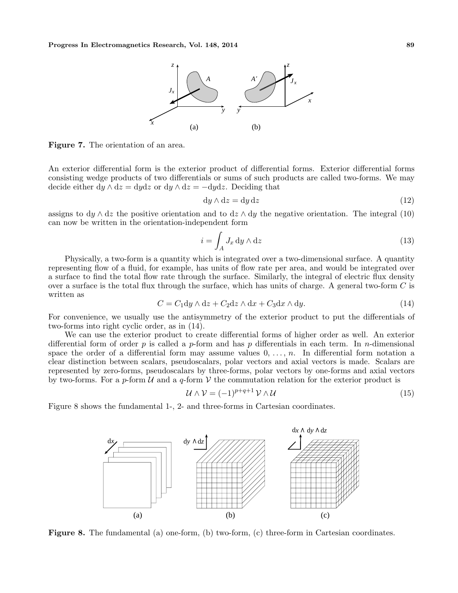

Figure 7. The orientation of an area.

An exterior differential form is the exterior product of differential forms. Exterior differential forms consisting wedge products of two differentials or sums of such products are called two-forms. We may decide either  $dy \wedge dz = dy dz$  or  $dy \wedge dz = -dy dz$ . Deciding that

$$
dy \wedge dz = dy dz \tag{12}
$$

assigns to  $dy \wedge dz$  the positive orientation and to  $dz \wedge dy$  the negative orientation. The integral (10) can now be written in the orientation-independent form

$$
i = \int_{A} J_x \, \mathrm{d}y \wedge \mathrm{d}z \tag{13}
$$

Physically, a two-form is a quantity which is integrated over a two-dimensional surface. A quantity representing flow of a fluid, for example, has units of flow rate per area, and would be integrated over a surface to find the total flow rate through the surface. Similarly, the integral of electric flux density over a surface is the total flux through the surface, which has units of charge. A general two-form  $C$  is written as

$$
C = C_1 dy \wedge dz + C_2 dz \wedge dx + C_3 dx \wedge dy. \tag{14}
$$

For convenience, we usually use the antisymmetry of the exterior product to put the differentials of two-forms into right cyclic order, as in (14).

We can use the exterior product to create differential forms of higher order as well. An exterior differential form of order p is called a p-form and has p differentials in each term. In n-dimensional space the order of a differential form may assume values  $0, \ldots, n$ . In differential form notation a clear distinction between scalars, pseudoscalars, polar vectors and axial vectors is made. Scalars are represented by zero-forms, pseudoscalars by three-forms, polar vectors by one-forms and axial vectors by two-forms. For a p-form  $\mathcal U$  and a q-form  $\mathcal V$  the commutation relation for the exterior product is

$$
\mathcal{U} \wedge \mathcal{V} = (-1)^{p+q+1} \mathcal{V} \wedge \mathcal{U}
$$
\n<sup>(15)</sup>

Figure 8 shows the fundamental 1-, 2- and three-forms in Cartesian coordinates.



Figure 8. The fundamental (a) one-form, (b) two-form, (c) three-form in Cartesian coordinates.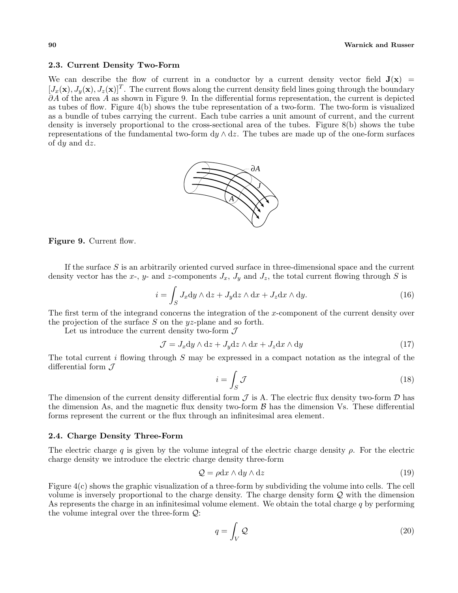## 2.3. Current Density Two-Form

We can describe the flow of current in a conductor by a current density vector field  $J(x)$  =  $[J_x(\mathbf{x}), J_y(\mathbf{x}), J_z(\mathbf{x})]^T$ . The current flows along the current density field lines going through the boundary  $∂A$  of the area  $A$  as shown in Figure 9. In the differential forms representation, the current is depicted as tubes of flow. Figure 4(b) shows the tube representation of a two-form. The two-form is visualized as a bundle of tubes carrying the current. Each tube carries a unit amount of current, and the current density is inversely proportional to the cross-sectional area of the tubes. Figure 8(b) shows the tube representations of the fundamental two-form dy  $\wedge$  dz. The tubes are made up of the one-form surfaces of dy and dz.



Figure 9. Current flow.

If the surface  $S$  is an arbitrarily oriented curved surface in three-dimensional space and the current density vector has the x-, y- and z-components  $J_x$ ,  $J_y$  and  $J_z$ , the total current flowing through S is

$$
i = \int_{S} J_x \mathrm{d}y \wedge \mathrm{d}z + J_y \mathrm{d}z \wedge \mathrm{d}x + J_z \mathrm{d}x \wedge \mathrm{d}y. \tag{16}
$$

The first term of the integrand concerns the integration of the x-component of the current density over the projection of the surface S on the  $yz$ -plane and so forth.

Let us introduce the current density two-form  $\mathcal J$ 

$$
\mathcal{J} = J_x \mathrm{d}y \wedge \mathrm{d}z + J_y \mathrm{d}z \wedge \mathrm{d}x + J_z \mathrm{d}x \wedge \mathrm{d}y \tag{17}
$$

The total current i flowing through  $S$  may be expressed in a compact notation as the integral of the differential form  $\mathcal J$ 

$$
i = \int_{S} \mathcal{J} \tag{18}
$$

The dimension of the current density differential form  $\mathcal J$  is A. The electric flux density two-form  $\mathcal D$  has the dimension As, and the magnetic flux density two-form  $\beta$  has the dimension Vs. These differential forms represent the current or the flux through an infinitesimal area element.

## 2.4. Charge Density Three-Form

The electric charge q is given by the volume integral of the electric charge density  $\rho$ . For the electric charge density we introduce the electric charge density three-form

$$
Q = \rho dx \wedge dy \wedge dz \tag{19}
$$

Figure 4(c) shows the graphic visualization of a three-form by subdividing the volume into cells. The cell volume is inversely proportional to the charge density. The charge density form Q with the dimension As represents the charge in an infinitesimal volume element. We obtain the total charge  $q$  by performing the volume integral over the three-form Q:

$$
q = \int_{V} \mathcal{Q} \tag{20}
$$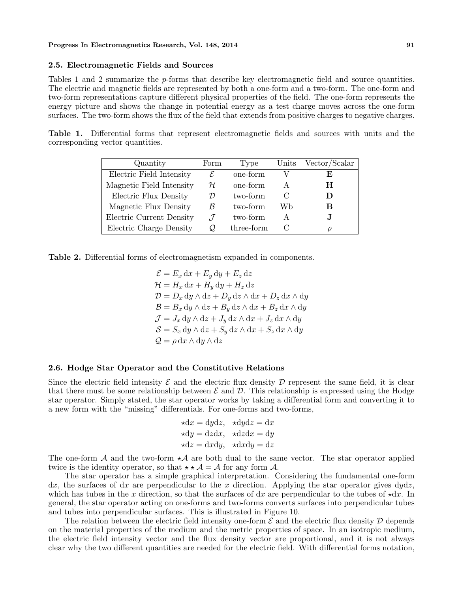#### 2.5. Electromagnetic Fields and Sources

Tables 1 and 2 summarize the p-forms that describe key electromagnetic field and source quantities. The electric and magnetic fields are represented by both a one-form and a two-form. The one-form and two-form representations capture different physical properties of the field. The one-form represents the energy picture and shows the change in potential energy as a test charge moves across the one-form surfaces. The two-form shows the flux of the field that extends from positive charges to negative charges.

Table 1. Differential forms that represent electromagnetic fields and sources with units and the corresponding vector quantities.

| Quantity                 | Form          | Type       | Units | Vector/Scalar |
|--------------------------|---------------|------------|-------|---------------|
| Electric Field Intensity | E             | one-form   |       | E             |
| Magnetic Field Intensity | H             | one-form   |       | н             |
| Electric Flux Density    | D             | two-form   |       |               |
| Magnetic Flux Density    | B             | two-form   | Wb    | В             |
| Electric Current Density | $\mathcal{T}$ | two-form   | А     | . I           |
| Electric Charge Density  | O             | three-form |       | D             |

Table 2. Differential forms of electromagnetism expanded in components.

 $\mathcal{E} = E_x \, dx + E_y \, dy + E_z \, dz$  $\mathcal{H} = H_x \, dx + H_y \, dy + H_z \, dz$  $\mathcal{D} = D_x \, dy \wedge dz + D_y \, dz \wedge dx + D_z \, dx \wedge dy$  $\mathcal{B} = B_x \, dy \wedge dz + B_y \, dz \wedge dx + B_z \, dx \wedge dy$  $\mathcal{J} = J_x \, dy \wedge dz + J_y \, dz \wedge dx + J_z \, dx \wedge dy$  $S = S_x dy \wedge dz + S_y dz \wedge dx + S_z dx \wedge dy$  $Q = \rho \, dx \wedge dy \wedge dz$ 

#### 2.6. Hodge Star Operator and the Constitutive Relations

Since the electric field intensity  $\mathcal E$  and the electric flux density  $\mathcal D$  represent the same field, it is clear that there must be some relationship between  $\mathcal E$  and  $\mathcal D$ . This relationship is expressed using the Hodge star operator. Simply stated, the star operator works by taking a differential form and converting it to a new form with the "missing" differentials. For one-forms and two-forms,

$$
\star dx = dydz, \quad \star dydz = dx
$$
  

$$
\star dy = dzdx, \quad \star dzdx = dy
$$
  

$$
\star dz = dxdy, \quad \star dxdy = dz
$$

The one-form  $\mathcal A$  and the two-form  $\star\mathcal A$  are both dual to the same vector. The star operator applied twice is the identity operator, so that  $\star \star A = A$  for any form A.

The star operator has a simple graphical interpretation. Considering the fundamental one-form  $dx$ , the surfaces of  $dx$  are perpendicular to the x direction. Applying the star operator gives  $dydz$ , which has tubes in the x direction, so that the surfaces of dx are perpendicular to the tubes of  $\star$ dx. In general, the star operator acting on one-forms and two-forms converts surfaces into perpendicular tubes and tubes into perpendicular surfaces. This is illustrated in Figure 10.

The relation between the electric field intensity one-form  $\mathcal E$  and the electric flux density  $\mathcal D$  depends on the material properties of the medium and the metric properties of space. In an isotropic medium, the electric field intensity vector and the flux density vector are proportional, and it is not always clear why the two different quantities are needed for the electric field. With differential forms notation,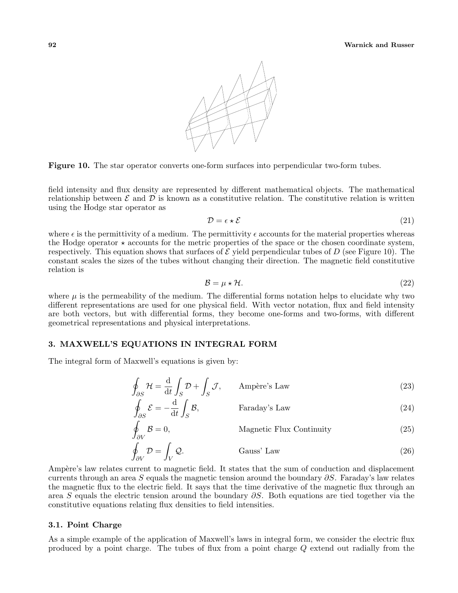

Figure 10. The star operator converts one-form surfaces into perpendicular two-form tubes.

field intensity and flux density are represented by different mathematical objects. The mathematical relationship between  $\mathcal E$  and  $\mathcal D$  is known as a constitutive relation. The constitutive relation is written using the Hodge star operator as

$$
\mathcal{D} = \epsilon \star \mathcal{E} \tag{21}
$$

where  $\epsilon$  is the permittivity of a medium. The permittivity  $\epsilon$  accounts for the material properties whereas the Hodge operator  $\star$  accounts for the metric properties of the space or the chosen coordinate system, respectively. This equation shows that surfaces of  $\mathcal E$  yield perpendicular tubes of D (see Figure 10). The constant scales the sizes of the tubes without changing their direction. The magnetic field constitutive relation is

$$
\mathcal{B} = \mu \star \mathcal{H}.\tag{22}
$$

where  $\mu$  is the permeability of the medium. The differential forms notation helps to elucidate why two different representations are used for one physical field. With vector notation, flux and field intensity are both vectors, but with differential forms, they become one-forms and two-forms, with different geometrical representations and physical interpretations.

## 3. MAXWELL'S EQUATIONS IN INTEGRAL FORM

The integral form of Maxwell's equations is given by:

$$
\oint_{\partial S} \mathcal{H} = \frac{\mathrm{d}}{\mathrm{d}t} \int_{S} \mathcal{D} + \int_{S} \mathcal{J}, \qquad \text{Ampère's Law} \tag{23}
$$

$$
\oint_{\partial S} \mathcal{E} = -\frac{\mathrm{d}}{\mathrm{d}t} \int_{S} \mathcal{B}, \qquad \qquad \text{Faraday's Law} \tag{24}
$$

$$
\oint_{\partial V} \mathcal{B} = 0,
$$
\nMagnetic Flux Continuity\n
$$
\oint_{\partial V} \mathcal{D} = \int_{V} \mathcal{Q}.
$$
\n(Gauss' Law\n(26)

Ampère's law relates current to magnetic field. It states that the sum of conduction and displacement currents through an area S equals the magnetic tension around the boundary  $\partial S$ . Faraday's law relates the magnetic flux to the electric field. It says that the time derivative of the magnetic flux through an area S equals the electric tension around the boundary  $\partial S$ . Both equations are tied together via the constitutive equations relating flux densities to field intensities.

#### 3.1. Point Charge

As a simple example of the application of Maxwell's laws in integral form, we consider the electric flux produced by a point charge. The tubes of flux from a point charge Q extend out radially from the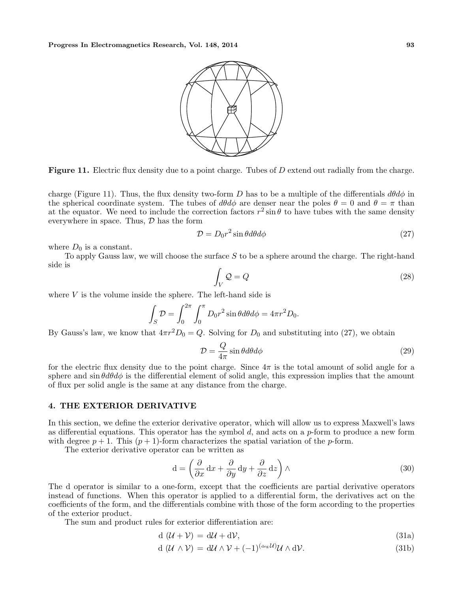

**Figure 11.** Electric flux density due to a point charge. Tubes of  $D$  extend out radially from the charge.

charge (Figure 11). Thus, the flux density two-form D has to be a multiple of the differentials  $d\theta d\phi$  in the spherical coordinate system. The tubes of  $d\theta d\phi$  are denser near the poles  $\theta = 0$  and  $\theta = \pi$  than at the equator. We need to include the correction factors  $r^2 \sin \theta$  to have tubes with the same density everywhere in space. Thus,  $\mathcal D$  has the form

$$
\mathcal{D} = D_0 r^2 \sin \theta d\theta d\phi \tag{27}
$$

where  $D_0$  is a constant.

To apply Gauss law, we will choose the surface S to be a sphere around the charge. The right-hand side is

$$
\int_{V} \mathcal{Q} = Q \tag{28}
$$

where  $V$  is the volume inside the sphere. The left-hand side is

$$
\int_{S} \mathcal{D} = \int_0^{2\pi} \int_0^{\pi} D_0 r^2 \sin \theta d\theta d\phi = 4\pi r^2 D_0.
$$

By Gauss's law, we know that  $4\pi r^2D_0=Q$ . Solving for  $D_0$  and substituting into (27), we obtain

$$
\mathcal{D} = \frac{Q}{4\pi} \sin\theta d\theta d\phi \tag{29}
$$

for the electric flux density due to the point charge. Since  $4\pi$  is the total amount of solid angle for a sphere and  $\sin \theta d\theta d\phi$  is the differential element of solid angle, this expression implies that the amount of flux per solid angle is the same at any distance from the charge.

## 4. THE EXTERIOR DERIVATIVE

In this section, we define the exterior derivative operator, which will allow us to express Maxwell's laws as differential equations. This operator has the symbol  $d$ , and acts on a  $p$ -form to produce a new form with degree  $p + 1$ . This  $(p + 1)$ -form characterizes the spatial variation of the p-form.

The exterior derivative operator can be written as

$$
d = \left(\frac{\partial}{\partial x} dx + \frac{\partial}{\partial y} dy + \frac{\partial}{\partial z} dz\right) \wedge \tag{30}
$$

The d operator is similar to a one-form, except that the coefficients are partial derivative operators instead of functions. When this operator is applied to a differential form, the derivatives act on the coefficients of the form, and the differentials combine with those of the form according to the properties of the exterior product.

The sum and product rules for exterior differentiation are:

$$
d(\mathcal{U} + \mathcal{V}) = d\mathcal{U} + d\mathcal{V},\tag{31a}
$$

$$
d(\mathcal{U} \wedge \mathcal{V}) = d\mathcal{U} \wedge \mathcal{V} + (-1)^{(\deg \mathcal{U})} \mathcal{U} \wedge d\mathcal{V}.
$$
 (31b)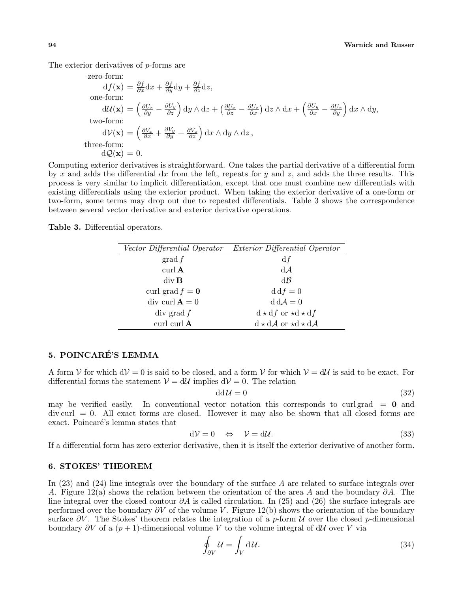The exterior derivatives of p-forms are

zero-form:  
\n
$$
df(\mathbf{x}) = \frac{\partial f}{\partial x} dx + \frac{\partial f}{\partial y} dy + \frac{\partial f}{\partial z} dz,
$$
\none-form:  
\n
$$
d\mathcal{U}(\mathbf{x}) = \left(\frac{\partial U_z}{\partial y} - \frac{\partial U_y}{\partial z}\right) dy \wedge dz + \left(\frac{\partial U_x}{\partial z} - \frac{\partial U_z}{\partial x}\right) dz \wedge dx + \left(\frac{\partial U_y}{\partial x} - \frac{\partial U_x}{\partial y}\right) dx \wedge dy,
$$
\ntwo-form:  
\n
$$
d\mathcal{V}(\mathbf{x}) = \left(\frac{\partial V_x}{\partial x} + \frac{\partial V_y}{\partial y} + \frac{\partial V_z}{\partial z}\right) dx \wedge dy \wedge dz,
$$
\nthree-form:  
\n
$$
d\mathcal{Q}(\mathbf{x}) = 0.
$$

Computing exterior derivatives is straightforward. One takes the partial derivative of a differential form by x and adds the differential dx from the left, repeats for y and z, and adds the three results. This process is very similar to implicit differentiation, except that one must combine new differentials with existing differentials using the exterior product. When taking the exterior derivative of a one-form or two-form, some terms may drop out due to repeated differentials. Table 3 shows the correspondence between several vector derivative and exterior derivative operations.

Table 3. Differential operators.

|                           | Vector Differential Operator Exterior Differential Operator |  |
|---------------------------|-------------------------------------------------------------|--|
| $\operatorname{grad} f$   | df                                                          |  |
| $\operatorname{curl} A$   | $d\mathcal{A}$                                              |  |
| $div \, \mathbf{B}$       | $d\mathcal{B}$                                              |  |
| curl grad $f = 0$         | $\mathrm{d}\mathrm{d}f=0$                                   |  |
| div curl $\mathbf{A} = 0$ | $d dA = 0$                                                  |  |
| div grad f                | $d \star df$ or $\star d \star df$                          |  |
| curl curl $A$             | $d \star d\mathcal{A}$ or $\star d \star d\mathcal{A}$      |  |

# 5. POINCARÉ'S LEMMA

A form V for which  $dV = 0$  is said to be closed, and a form V for which  $V = dU$  is said to be exact. For differential forms the statement  $V = dU$  implies  $dV = 0$ . The relation

$$
dd\mathcal{U} = 0\tag{32}
$$

may be verified easily. In conventional vector notation this corresponds to curl grad  $= 0$  and  $\text{div}\,\text{curl} = 0$ . All exact forms are closed. However it may also be shown that all closed forms are exact. Poincaré's lemma states that

$$
d\mathcal{V} = 0 \quad \Leftrightarrow \quad \mathcal{V} = d\mathcal{U}.\tag{33}
$$

If a differential form has zero exterior derivative, then it is itself the exterior derivative of another form.

# 6. STOKES' THEOREM

In (23) and (24) line integrals over the boundary of the surface A are related to surface integrals over A. Figure 12(a) shows the relation between the orientation of the area A and the boundary  $\partial A$ . The line integral over the closed contour  $\partial A$  is called circulation. In (25) and (26) the surface integrals are performed over the boundary  $\partial V$  of the volume V. Figure 12(b) shows the orientation of the boundary surface  $\partial V$ . The Stokes' theorem relates the integration of a p-form U over the closed p-dimensional boundary  $\partial V$  of a  $(p+1)$ -dimensional volume V to the volume integral of dU over V via

$$
\oint_{\partial V} \mathcal{U} = \int_{V} d\mathcal{U}.\tag{34}
$$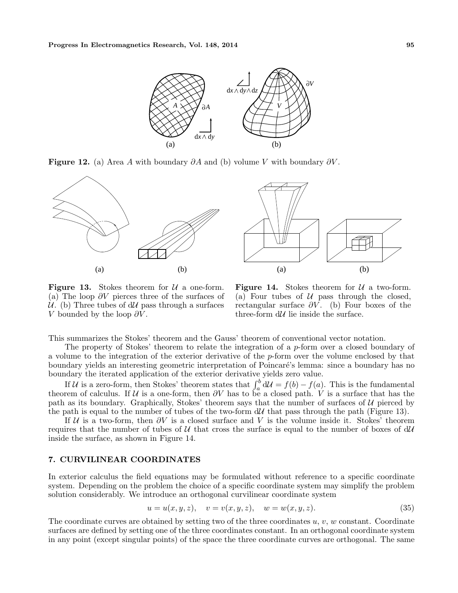

**Figure 12.** (a) Area A with boundary  $\partial A$  and (b) volume V with boundary  $\partial V$ .



**Figure 13.** Stokes theorem for  $\mathcal{U}$  a one-form. (a) The loop  $\partial V$  pierces three of the surfaces of  $\mathcal{U}$ . (b) Three tubes of d $\mathcal{U}$  pass through a surfaces V bounded by the loop  $\partial V$ .

Figure 14. Stokes theorem for  $U$  a two-form. (a) Four tubes of  $U$  pass through the closed, rectangular surface  $\partial V$ . (b) Four boxes of the three-form  $d\mathcal{U}$  lie inside the surface.

This summarizes the Stokes' theorem and the Gauss' theorem of conventional vector notation.

The property of Stokes' theorem to relate the integration of a p-form over a closed boundary of a volume to the integration of the exterior derivative of the  $p$ -form over the volume enclosed by that boundary yields an interesting geometric interpretation of Poincaré's lemma: since a boundary has no

boundary the iterated application of the exterior derivative yields zero value.<br>If U is a zero-form, then Stokes' theorem states that  $\int_a^b dU = f(b) - f(a)$ . This is the fundamental theorem of calculus. If U is a one-form, then  $\partial V$  has to be a closed path. V is a surface that has the path as its boundary. Graphically, Stokes' theorem says that the number of surfaces of  $U$  pierced by the path is equal to the number of tubes of the two-form  $d\mathcal{U}$  that pass through the path (Figure 13).

If  $U$  is a two-form, then  $\partial V$  is a closed surface and V is the volume inside it. Stokes' theorem requires that the number of tubes of U that cross the surface is equal to the number of boxes of  $dU$ inside the surface, as shown in Figure 14.

## 7. CURVILINEAR COORDINATES

In exterior calculus the field equations may be formulated without reference to a specific coordinate system. Depending on the problem the choice of a specific coordinate system may simplify the problem solution considerably. We introduce an orthogonal curvilinear coordinate system

$$
u = u(x, y, z), \quad v = v(x, y, z), \quad w = w(x, y, z).
$$
\n(35)

The coordinate curves are obtained by setting two of the three coordinates  $u, v, w$  constant. Coordinate surfaces are defined by setting one of the three coordinates constant. In an orthogonal coordinate system in any point (except singular points) of the space the three coordinate curves are orthogonal. The same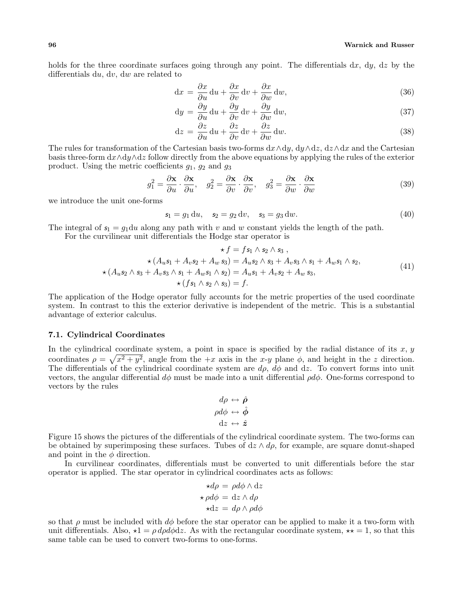holds for the three coordinate surfaces going through any point. The differentials  $dx$ ,  $dy$ ,  $dz$  by the differentials du, dv, dw are related to

$$
dx = \frac{\partial x}{\partial u} du + \frac{\partial x}{\partial v} dv + \frac{\partial x}{\partial w} dw,
$$
\n(36)

$$
dy = \frac{\partial y}{\partial u} du + \frac{\partial y}{\partial v} dv + \frac{\partial y}{\partial w} dw,
$$
\n(37)

$$
dz = \frac{\partial z}{\partial u} du + \frac{\partial z}{\partial v} dv + \frac{\partial z}{\partial w} dw.
$$
 (38)

The rules for transformation of the Cartesian basis two-forms  $dx \wedge dy$ ,  $dy \wedge dz$ ,  $dz \wedge dx$  and the Cartesian basis three-form  $dx \wedge dy \wedge dz$  follow directly from the above equations by applying the rules of the exterior product. Using the metric coefficients  $g_1, g_2$  and  $g_3$ 

$$
g_1^2 = \frac{\partial \mathbf{x}}{\partial u} \cdot \frac{\partial \mathbf{x}}{\partial u}, \quad g_2^2 = \frac{\partial \mathbf{x}}{\partial v} \cdot \frac{\partial \mathbf{x}}{\partial v}, \quad g_3^2 = \frac{\partial \mathbf{x}}{\partial w} \cdot \frac{\partial \mathbf{x}}{\partial w}
$$
(39)

we introduce the unit one-forms

$$
s_1 = g_1 du, \quad s_2 = g_2 dv, \quad s_3 = g_3 dw.
$$
 (40)

The integral of  $s_1 = g_1 du$  along any path with v and w constant yields the length of the path.

For the curvilinear unit differentials the Hodge star operator is

$$
\star f = fs_1 \wedge s_2 \wedge s_3 ,
$$
  
\n
$$
\star (A_u s_1 + A_v s_2 + A_w s_3) = A_u s_2 \wedge s_3 + A_v s_3 \wedge s_1 + A_w s_1 \wedge s_2,
$$
  
\n
$$
\star (A_u s_2 \wedge s_3 + A_v s_3 \wedge s_1 + A_w s_1 \wedge s_2) = A_u s_1 + A_v s_2 + A_w s_3,
$$
  
\n
$$
\star (fs_1 \wedge s_2 \wedge s_3) = f.
$$
\n(41)

The application of the Hodge operator fully accounts for the metric properties of the used coordinate system. In contrast to this the exterior derivative is independent of the metric. This is a substantial advantage of exterior calculus.

## 7.1. Cylindrical Coordinates

In the cylindrical coordinate system, a point in space is specified by the radial distance of its x, y coordinates  $\rho = \sqrt{x^2 + y^2}$ , angle from the  $+x$  axis in the x-y plane  $\phi$ , and height in the z direction. The differentials of the cylindrical coordinate system are  $d\rho$ ,  $d\phi$  and dz. To convert forms into unit vectors, the angular differential  $d\phi$  must be made into a unit differential  $\rho d\phi$ . One-forms correspond to vectors by the rules

$$
d\rho \leftrightarrow \hat{\rho}
$$
  
\n
$$
\rho d\phi \leftrightarrow \hat{\phi}
$$
  
\n
$$
dz \leftrightarrow \hat{z}
$$

Figure 15 shows the pictures of the differentials of the cylindrical coordinate system. The two-forms can be obtained by superimposing these surfaces. Tubes of  $dz \wedge d\rho$ , for example, are square donut-shaped and point in the  $\phi$  direction.

In curvilinear coordinates, differentials must be converted to unit differentials before the star operator is applied. The star operator in cylindrical coordinates acts as follows:

$$
\star d\rho = \rho d\phi \wedge dz
$$

$$
\star \rho d\phi = dz \wedge d\rho
$$

$$
\star dz = d\rho \wedge \rho d\phi
$$

so that  $\rho$  must be included with  $d\phi$  before the star operator can be applied to make it a two-form with unit differentials. Also,  $\star 1 = \rho d\rho d\phi dz$ . As with the rectangular coordinate system,  $\star \star = 1$ , so that this same table can be used to convert two-forms to one-forms.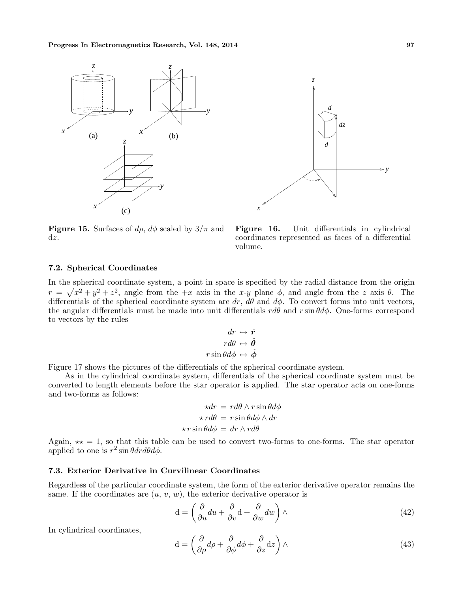



**Figure 15.** Surfaces of  $d\rho$ ,  $d\phi$  scaled by  $3/\pi$  and dz.

Figure 16. Unit differentials in cylindrical coordinates represented as faces of a differential volume.

# 7.2. Spherical Coordinates

In the spherical coordinate system, a point in space is specified by the radial distance from the origin  $r = \sqrt{x^2 + y^2 + z^2}$ , angle from the  $+x$  axis in the x-y plane  $\phi$ , and angle from the z axis  $\theta$ . The differentials of the spherical coordinate system are  $dr$ ,  $d\theta$  and  $d\phi$ . To convert forms into unit vectors, the angular differentials must be made into unit differentials  $r d\theta$  and r sin  $\theta d\phi$ . One-forms correspond to vectors by the rules

$$
dr \leftrightarrow \hat{r}
$$

$$
rd\theta \leftrightarrow \hat{\theta}
$$

$$
r \sin \theta d\phi \leftrightarrow \hat{\phi}
$$

Figure 17 shows the pictures of the differentials of the spherical coordinate system.

As in the cylindrical coordinate system, differentials of the spherical coordinate system must be converted to length elements before the star operator is applied. The star operator acts on one-forms and two-forms as follows:

$$
\star dr = r d\theta \wedge r \sin \theta d\phi
$$

$$
\star r d\theta = r \sin \theta d\phi \wedge dr
$$

$$
\star r \sin \theta d\phi = dr \wedge r d\theta
$$

Again,  $\star\star = 1$ , so that this table can be used to convert two-forms to one-forms. The star operator applied to one is  $r^2 \sin \theta dr d\theta d\phi$ .

#### 7.3. Exterior Derivative in Curvilinear Coordinates

Regardless of the particular coordinate system, the form of the exterior derivative operator remains the same. If the coordinates are  $(u, v, w)$ , the exterior derivative operator is

$$
\mathbf{d} = \left(\frac{\partial}{\partial u} du + \frac{\partial}{\partial v} \mathbf{d} + \frac{\partial}{\partial w} dw\right) \wedge \tag{42}
$$

In cylindrical coordinates,

$$
d = \left(\frac{\partial}{\partial \rho} d\rho + \frac{\partial}{\partial \phi} d\phi + \frac{\partial}{\partial z} dz\right) \wedge \tag{43}
$$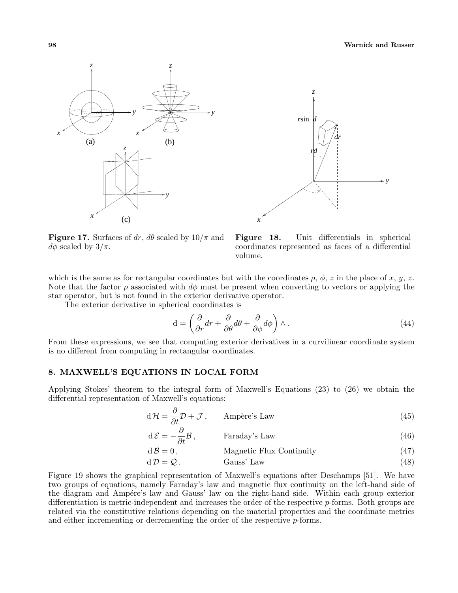



**Figure 17.** Surfaces of dr,  $d\theta$  scaled by  $10/\pi$  and  $d\phi$  scaled by  $3/\pi$ .

Figure 18. Unit differentials in spherical coordinates represented as faces of a differential volume.

which is the same as for rectangular coordinates but with the coordinates  $\rho$ ,  $\phi$ , z in the place of x, y, z. Note that the factor  $\rho$  associated with  $d\phi$  must be present when converting to vectors or applying the star operator, but is not found in the exterior derivative operator.

The exterior derivative in spherical coordinates is

$$
d = \left(\frac{\partial}{\partial r}dr + \frac{\partial}{\partial \theta}d\theta + \frac{\partial}{\partial \phi}d\phi\right)\wedge.
$$
 (44)

From these expressions, we see that computing exterior derivatives in a curvilinear coordinate system is no different from computing in rectangular coordinates.

# 8. MAXWELL'S EQUATIONS IN LOCAL FORM

Applying Stokes' theorem to the integral form of Maxwell's Equations (23) to (26) we obtain the differential representation of Maxwell's equations:

$$
d\mathcal{H} = \frac{\partial}{\partial t} \mathcal{D} + \mathcal{J}, \qquad \text{Ampère's Law} \tag{45}
$$

$$
d\mathcal{E} = -\frac{\partial}{\partial t} \mathcal{B}, \qquad \text{Faraday's Law} \tag{46}
$$

$$
d\mathcal{B} = 0, \qquad \text{Magnetic Flux Continuity} \tag{47}
$$
\n
$$
d\mathcal{D} = Q \tag{48}
$$

$$
d\mathcal{D} = \mathcal{Q}.
$$
 Gauss' Law (48)

Figure 19 shows the graphical representation of Maxwell's equations after Deschamps [51]. We have two groups of equations, namely Faraday's law and magnetic flux continuity on the left-hand side of the diagram and Ampére's law and Gauss' law on the right-hand side. Within each group exterior differentiation is metric-independent and increases the order of the respective p-forms. Both groups are related via the constitutive relations depending on the material properties and the coordinate metrics and either incrementing or decrementing the order of the respective  $p$ -forms.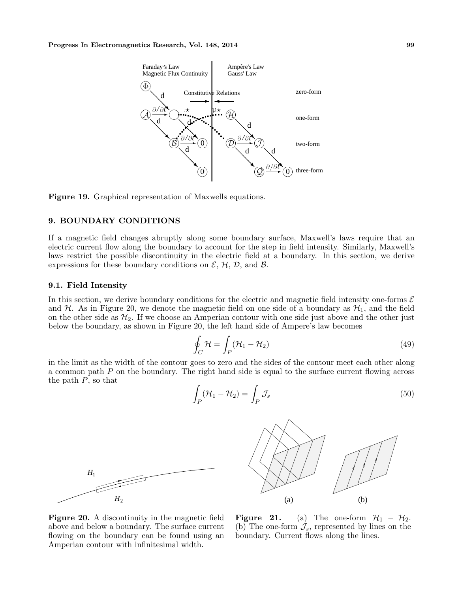

Figure 19. Graphical representation of Maxwells equations.

## 9. BOUNDARY CONDITIONS

If a magnetic field changes abruptly along some boundary surface, Maxwell's laws require that an electric current flow along the boundary to account for the step in field intensity. Similarly, Maxwell's laws restrict the possible discontinuity in the electric field at a boundary. In this section, we derive expressions for these boundary conditions on  $\mathcal{E}, \mathcal{H}, \mathcal{D}$ , and  $\mathcal{B}$ .

#### 9.1. Field Intensity

In this section, we derive boundary conditions for the electric and magnetic field intensity one-forms  $\mathcal E$ and  $H$ . As in Figure 20, we denote the magnetic field on one side of a boundary as  $H_1$ , and the field on the other side as  $\mathcal{H}_2$ . If we choose an Amperian contour with one side just above and the other just below the boundary, as shown in Figure 20, the left hand side of Ampere's law becomes

$$
\oint_C \mathcal{H} = \int_P (\mathcal{H}_1 - \mathcal{H}_2)
$$
\n(49)

in the limit as the width of the contour goes to zero and the sides of the contour meet each other along a common path P on the boundary. The right hand side is equal to the surface current flowing across the path  $P$ , so that

$$
\int_{P} (\mathcal{H}_1 - \mathcal{H}_2) = \int_{P} \mathcal{J}_s \tag{50}
$$





Figure 20. A discontinuity in the magnetic field above and below a boundary. The surface current flowing on the boundary can be found using an Amperian contour with infinitesimal width.

**Figure 21.** (a) The one-form  $\mathcal{H}_1 - \mathcal{H}_2$ . (b) The one-form  $\mathcal{J}_s$ , represented by lines on the boundary. Current flows along the lines.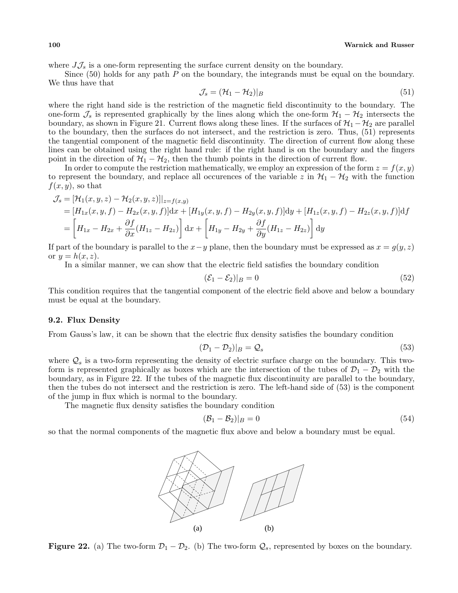100 Warnick and Russer

where  $J\mathcal{J}_s$  is a one-form representing the surface current density on the boundary.

Since  $(50)$  holds for any path P on the boundary, the integrands must be equal on the boundary. We thus have that

$$
\mathcal{J}_s = (\mathcal{H}_1 - \mathcal{H}_2)|_B \tag{51}
$$

where the right hand side is the restriction of the magnetic field discontinuity to the boundary. The one-form  $\mathcal{J}_s$  is represented graphically by the lines along which the one-form  $\mathcal{H}_1 - \mathcal{H}_2$  intersects the boundary, as shown in Figure 21. Current flows along these lines. If the surfaces of  $\mathcal{H}_1 - \mathcal{H}_2$  are parallel to the boundary, then the surfaces do not intersect, and the restriction is zero. Thus, (51) represents the tangential component of the magnetic field discontinuity. The direction of current flow along these lines can be obtained using the right hand rule: if the right hand is on the boundary and the fingers point in the direction of  $\mathcal{H}_1 - \mathcal{H}_2$ , then the thumb points in the direction of current flow.

In order to compute the restriction mathematically, we employ an expression of the form  $z = f(x, y)$ to represent the boundary, and replace all occurences of the variable z in  $H_1 - H_2$  with the function  $f(x, y)$ , so that

$$
\mathcal{J}_s = [\mathcal{H}_1(x, y, z) - \mathcal{H}_2(x, y, z)]|_{z=f(x,y)}
$$
  
\n
$$
= [H_{1x}(x, y, f) - H_{2x}(x, y, f)]dx + [H_{1y}(x, y, f) - H_{2y}(x, y, f)]dy + [H_{1z}(x, y, f) - H_{2z}(x, y, f)]df
$$
  
\n
$$
= \left[H_{1x} - H_{2x} + \frac{\partial f}{\partial x}(H_{1z} - H_{2z})\right]dx + \left[H_{1y} - H_{2y} + \frac{\partial f}{\partial y}(H_{1z} - H_{2z})\right]dy
$$

If part of the boundary is parallel to the  $x-y$  plane, then the boundary must be expressed as  $x = g(y, z)$ or  $y = h(x, z)$ .

In a similar manner, we can show that the electric field satisfies the boundary condition

$$
(\mathcal{E}_1 - \mathcal{E}_2)|_B = 0 \tag{52}
$$

This condition requires that the tangential component of the electric field above and below a boundary must be equal at the boundary.

## 9.2. Flux Density

From Gauss's law, it can be shown that the electric flux density satisfies the boundary condition

$$
(\mathcal{D}_1 - \mathcal{D}_2)|_B = \mathcal{Q}_s \tag{53}
$$

where  $\mathcal{Q}_s$  is a two-form representing the density of electric surface charge on the boundary. This twoform is represented graphically as boxes which are the intersection of the tubes of  $\mathcal{D}_1 - \mathcal{D}_2$  with the boundary, as in Figure 22. If the tubes of the magnetic flux discontinuity are parallel to the boundary, then the tubes do not intersect and the restriction is zero. The left-hand side of (53) is the component of the jump in flux which is normal to the boundary.

The magnetic flux density satisfies the boundary condition

$$
(\mathcal{B}_1 - \mathcal{B}_2)|_B = 0 \tag{54}
$$

so that the normal components of the magnetic flux above and below a boundary must be equal.



**Figure 22.** (a) The two-form  $\mathcal{D}_1 - \mathcal{D}_2$ . (b) The two-form  $\mathcal{Q}_s$ , represented by boxes on the boundary.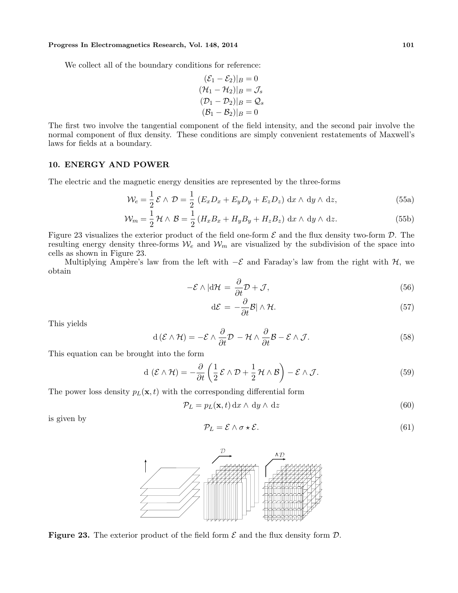#### Progress In Electromagnetics Research, Vol. 148, 2014 101

We collect all of the boundary conditions for reference:

$$
(\mathcal{E}_1 - \mathcal{E}_2)|_B = 0
$$
  

$$
(\mathcal{H}_1 - \mathcal{H}_2)|_B = \mathcal{J}_s
$$
  

$$
(\mathcal{D}_1 - \mathcal{D}_2)|_B = \mathcal{Q}_s
$$
  

$$
(\mathcal{B}_1 - \mathcal{B}_2)|_B = 0
$$

The first two involve the tangential component of the field intensity, and the second pair involve the normal component of flux density. These conditions are simply convenient restatements of Maxwell's laws for fields at a boundary.

# 10. ENERGY AND POWER

The electric and the magnetic energy densities are represented by the three-forms

$$
\mathcal{W}_e = \frac{1}{2} \mathcal{E} \wedge \mathcal{D} = \frac{1}{2} \left( E_x D_x + E_y D_y + E_z D_z \right) dx \wedge dy \wedge dz,
$$
\n(55a)

$$
\mathcal{W}_m = \frac{1}{2} \mathcal{H} \wedge \mathcal{B} = \frac{1}{2} \left( H_x B_x + H_y B_y + H_z B_z \right) dx \wedge dy \wedge dz.
$$
 (55b)

Figure 23 visualizes the exterior product of the field one-form  $\mathcal E$  and the flux density two-form  $\mathcal D$ . The resulting energy density three-forms  $W_e$  and  $W_m$  are visualized by the subdivision of the space into cells as shown in Figure 23.

Multiplying Ampère's law from the left with  $-\mathcal{E}$  and Faraday's law from the right with H, we obtain

$$
-\mathcal{E} \wedge |\mathrm{d}\mathcal{H}| = \frac{\partial}{\partial t} \mathcal{D} + \mathcal{J},\tag{56}
$$

$$
d\mathcal{E} = -\frac{\partial}{\partial t} \mathcal{B} |\wedge \mathcal{H}.\tag{57}
$$

This yields

$$
d(\mathcal{E} \wedge \mathcal{H}) = -\mathcal{E} \wedge \frac{\partial}{\partial t} \mathcal{D} - \mathcal{H} \wedge \frac{\partial}{\partial t} \mathcal{B} - \mathcal{E} \wedge \mathcal{J}.
$$
 (58)

This equation can be brought into the form

$$
d\left(\mathcal{E}\wedge\mathcal{H}\right)=-\frac{\partial}{\partial t}\left(\frac{1}{2}\mathcal{E}\wedge\mathcal{D}+\frac{1}{2}\mathcal{H}\wedge\mathcal{B}\right)-\mathcal{E}\wedge\mathcal{J}.\tag{59}
$$

The power loss density  $p_L(\mathbf{x}, t)$  with the corresponding differential form

$$
\mathcal{P}_L = p_L(\mathbf{x}, t) \, \mathrm{d}x \wedge \, \mathrm{d}y \wedge \, \mathrm{d}z \tag{60}
$$

is given by

$$
\mathcal{P}_L = \mathcal{E} \wedge \sigma \star \mathcal{E}.\tag{61}
$$



**Figure 23.** The exterior product of the field form  $\mathcal E$  and the flux density form  $\mathcal D$ .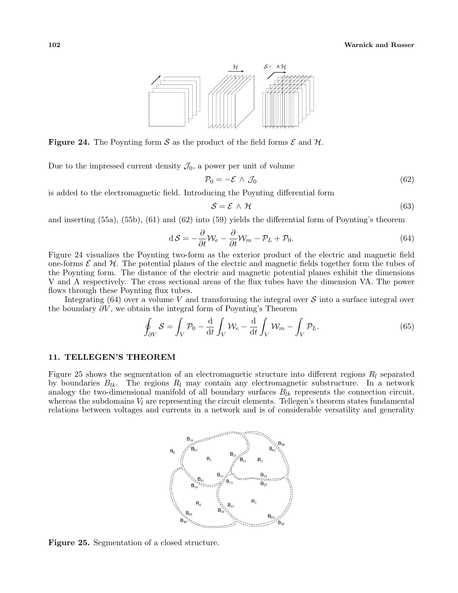

**Figure 24.** The Poynting form S as the product of the field forms  $\mathcal{E}$  and  $\mathcal{H}$ .

Due to the impressed current density  $\mathcal{J}_0$ , a power per unit of volume

$$
\mathcal{P}_0 = -\mathcal{E} \wedge \mathcal{J}_0 \tag{62}
$$

is added to the electromagnetic field. Introducing the Poynting differential form

$$
S = \mathcal{E} \wedge \mathcal{H} \tag{63}
$$

and inserting (55a), (55b), (61) and (62) into (59) yields the differential form of Poynting's theorem

$$
dS = -\frac{\partial}{\partial t} \mathcal{W}_e - \frac{\partial}{\partial t} \mathcal{W}_m - \mathcal{P}_L + \mathcal{P}_0.
$$
\n(64)

Figure 24 visualizes the Poynting two-form as the exterior product of the electric and magnetic field one-forms  $\mathcal E$  and  $\mathcal H$ . The potential planes of the electric and magnetic fields together form the tubes of the Poynting form. The distance of the electric and magnetic potential planes exhibit the dimensions V and A respectively. The cross sectional areas of the flux tubes have the dimension VA. The power flows through these Poynting flux tubes.

Integrating  $(64)$  over a volume V and transforming the integral over S into a surface integral over the boundary  $\partial V$ , we obtain the integral form of Poynting's Theorem

$$
\oint_{\partial V} S = \int_{V} \mathcal{P}_0 - \frac{d}{dt} \int_{V} \mathcal{W}_e - \frac{d}{dt} \int_{V} \mathcal{W}_m - \int_{V} \mathcal{P}_L.
$$
\n(65)

#### 11. TELLEGEN'S THEOREM

Figure 25 shows the segmentation of an electromagnetic structure into different regions  $R_l$  separated by boundaries  $B_{lk}$ . The regions  $R_l$  may contain any electromagnetic substructure. In a network analogy the two-dimensional manifold of all boundary surfaces  $B_{lk}$  represents the connection circuit, whereas the subdomains  $V_l$  are representing the circuit elements. Tellegen's theorem states fundamental relations between voltages and currents in a network and is of considerable versatility and generality



Figure 25. Segmentation of a closed structure.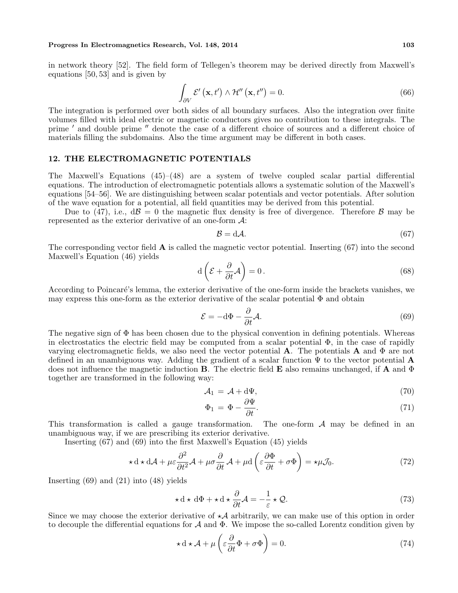#### Progress In Electromagnetics Research, Vol. 148, 2014 103

in network theory [52]. The field form of Tellegen's theorem may be derived directly from Maxwell's equations [50, 53] and is given by

$$
\int_{\partial V} \mathcal{E}'\left(\mathbf{x}, t'\right) \wedge \mathcal{H}''\left(\mathbf{x}, t''\right) = 0. \tag{66}
$$

The integration is performed over both sides of all boundary surfaces. Also the integration over finite volumes filled with ideal electric or magnetic conductors gives no contribution to these integrals. The prime  $'$  and double prime  $''$  denote the case of a different choice of sources and a different choice of materials filling the subdomains. Also the time argument may be different in both cases.

## 12. THE ELECTROMAGNETIC POTENTIALS

The Maxwell's Equations (45)–(48) are a system of twelve coupled scalar partial differential equations. The introduction of electromagnetic potentials allows a systematic solution of the Maxwell's equations [54–56]. We are distinguishing between scalar potentials and vector potentials. After solution of the wave equation for a potential, all field quantities may be derived from this potential.

Due to (47), i.e.,  $d\mathcal{B} = 0$  the magnetic flux density is free of divergence. Therefore  $\mathcal{B}$  may be represented as the exterior derivative of an one-form A:

$$
B = d\mathcal{A}.\tag{67}
$$

The corresponding vector field  $\bf{A}$  is called the magnetic vector potential. Inserting (67) into the second Maxwell's Equation (46) yields  $\overline{a}$  $\mathbf{r}$ 

$$
d\left(\mathcal{E} + \frac{\partial}{\partial t}\mathcal{A}\right) = 0.
$$
\n(68)

According to Poincaré's lemma, the exterior derivative of the one-form inside the brackets vanishes, we may express this one-form as the exterior derivative of the scalar potential  $\Phi$  and obtain

$$
\mathcal{E} = -\mathrm{d}\Phi - \frac{\partial}{\partial t} \mathcal{A}.\tag{69}
$$

The negative sign of  $\Phi$  has been chosen due to the physical convention in defining potentials. Whereas in electrostatics the electric field may be computed from a scalar potential  $\Phi$ , in the case of rapidly varying electromagnetic fields, we also need the vector potential **A**. The potentials **A** and  $\Phi$  are not defined in an unambiguous way. Adding the gradient of a scalar function  $\Psi$  to the vector potential **A** does not influence the magnetic induction **B**. The electric field **E** also remains unchanged, if **A** and  $\Phi$ together are transformed in the following way:

$$
\mathcal{A}_1 = \mathcal{A} + d\Psi,\tag{70}
$$

$$
\Phi_1 = \Phi - \frac{\partial \Psi}{\partial t}.\tag{71}
$$

This transformation is called a gauge transformation. The one-form  $A$  may be defined in an unambiguous way, if we are prescribing its exterior derivative.

Inserting (67) and (69) into the first Maxwell's Equation (45) yields

$$
\star \mathrm{d} \star \mathrm{d} \mathcal{A} + \mu \varepsilon \frac{\partial^2}{\partial t^2} \mathcal{A} + \mu \sigma \frac{\partial}{\partial t} \mathcal{A} + \mu \mathrm{d} \left( \varepsilon \frac{\partial \Phi}{\partial t} + \sigma \Phi \right) = \star \mu \mathcal{J}_0. \tag{72}
$$

Inserting (69) and (21) into (48) yields

$$
\star \, \mathrm{d}\star \, \mathrm{d}\Phi + \star \, \mathrm{d}\star \frac{\partial}{\partial t} \mathcal{A} = -\frac{1}{\varepsilon} \star \mathcal{Q}.\tag{73}
$$

Since we may choose the exterior derivative of  $\star A$  arbitrarily, we can make use of this option in order to decouple the differential equations for  $\mathcal A$  and  $\Phi$ . We impose the so-called Lorentz condition given by

$$
\star \, \mathrm{d} \star \mathcal{A} + \mu \left( \varepsilon \frac{\partial}{\partial t} \Phi + \sigma \Phi \right) = 0. \tag{74}
$$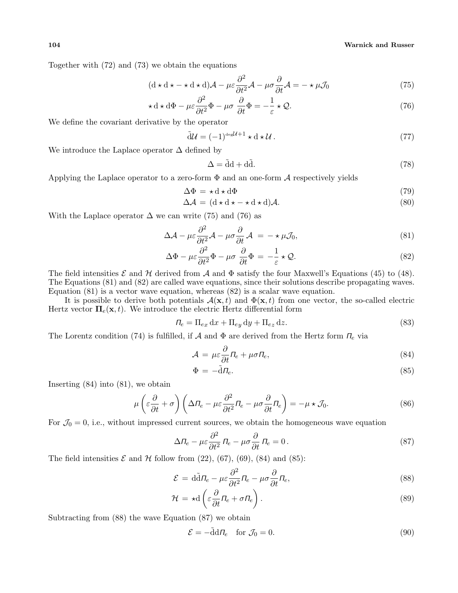Together with (72) and (73) we obtain the equations

$$
(\mathbf{d} \star \mathbf{d} \star - \star \mathbf{d} \star \mathbf{d})\mathcal{A} - \mu \varepsilon \frac{\partial^2}{\partial t^2} \mathcal{A} - \mu \sigma \frac{\partial}{\partial t} \mathcal{A} = - \star \mu \mathcal{J}_0 \tag{75}
$$

$$
\star \, \mathrm{d} \star \, \mathrm{d} \Phi - \mu \varepsilon \frac{\partial^2}{\partial t^2} \Phi - \mu \sigma \, \frac{\partial}{\partial t} \Phi = -\frac{1}{\varepsilon} \star \mathcal{Q}.\tag{76}
$$

We define the covariant derivative by the operator

$$
\tilde{\mathrm{d}}\mathcal{U} = (-1)^{\mathrm{deg}\mathcal{U}+1} \star \mathrm{d} \star \mathcal{U}.
$$
\n(77)

We introduce the Laplace operator  $\Delta$  defined by

$$
\Delta = \tilde{d}d + d\tilde{d}.
$$
\n(78)

Applying the Laplace operator to a zero-form  $\Phi$  and an one-form A respectively yields

$$
\Delta \Phi = \star \, \mathrm{d} \star \, \mathrm{d} \Phi \tag{79}
$$

$$
\Delta \mathcal{A} = (\mathbf{d} \star \mathbf{d} \star - \star \mathbf{d} \star \mathbf{d})\mathcal{A}.
$$
\n(80)

With the Laplace operator  $\Delta$  we can write (75) and (76) as

$$
\Delta \mathcal{A} - \mu \varepsilon \frac{\partial^2}{\partial t^2} \mathcal{A} - \mu \sigma \frac{\partial}{\partial t} \mathcal{A} = - \star \mu \mathcal{J}_0, \tag{81}
$$

$$
\Delta \Phi - \mu \varepsilon \frac{\partial^2}{\partial t^2} \Phi - \mu \sigma \frac{\partial}{\partial t} \Phi = -\frac{1}{\varepsilon} \star \mathcal{Q}.
$$
 (82)

The field intensities  $\mathcal E$  and  $\mathcal H$  derived from  $\mathcal A$  and  $\Phi$  satisfy the four Maxwell's Equations (45) to (48). The Equations (81) and (82) are called wave equations, since their solutions describe propagating waves. Equation (81) is a vector wave equation, whereas (82) is a scalar wave equation.

It is possible to derive both potentials  $\mathcal{A}(\mathbf{x}, t)$  and  $\Phi(\mathbf{x}, t)$  from one vector, the so-called electric Hertz vector  $\Pi_e(\mathbf{x}, t)$ . We introduce the electric Hertz differential form

$$
\Pi_e = \Pi_{ex} \, dx + \Pi_{ey} \, dy + \Pi_{ez} \, dz. \tag{83}
$$

The Lorentz condition (74) is fulfilled, if A and  $\Phi$  are derived from the Hertz form  $\Pi_e$  via

$$
\mathcal{A} = \mu \varepsilon \frac{\partial}{\partial t} \Pi_e + \mu \sigma \Pi_e, \tag{84}
$$

$$
\Phi = -\tilde{d} \Pi_e. \tag{85}
$$

Inserting (84) into (81), we obtain

$$
\mu\left(\varepsilon\frac{\partial}{\partial t} + \sigma\right)\left(\Delta \Pi_e - \mu \varepsilon \frac{\partial^2}{\partial t^2} \Pi_e - \mu \sigma \frac{\partial}{\partial t} \Pi_e\right) = -\mu \star \mathcal{J}_0.
$$
\n(86)

For  $\mathcal{J}_0 = 0$ , i.e., without impressed current sources, we obtain the homogeneous wave equation

$$
\Delta \Pi_e - \mu \varepsilon \frac{\partial^2}{\partial t^2} \Pi_e - \mu \sigma \frac{\partial}{\partial t} \Pi_e = 0.
$$
\n(87)

The field intensities  $\mathcal E$  and  $\mathcal H$  follow from (22), (67), (69), (84) and (85):

$$
\mathcal{E} = d\tilde{d}\Pi_e - \mu \varepsilon \frac{\partial^2}{\partial t^2} \Pi_e - \mu \sigma \frac{\partial}{\partial t} \Pi_e,\tag{88}
$$

$$
\mathcal{H} = \star \mathrm{d} \left( \varepsilon \frac{\partial}{\partial t} \Pi_e + \sigma \Pi_e \right). \tag{89}
$$

Subtracting from (88) the wave Equation (87) we obtain

$$
\mathcal{E} = -\tilde{\mathrm{d}} \mathrm{d} \Pi_e \quad \text{for } \mathcal{J}_0 = 0. \tag{90}
$$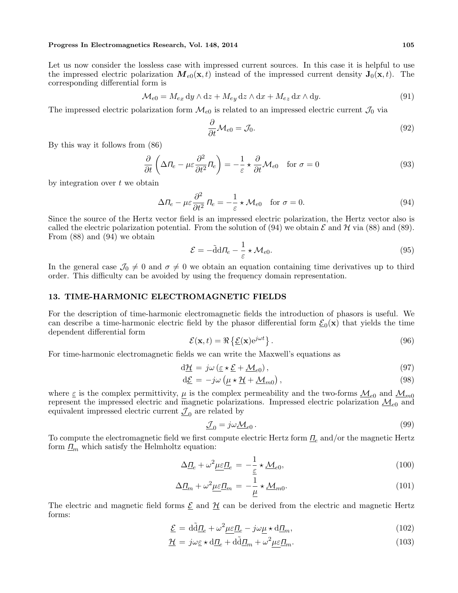#### Progress In Electromagnetics Research, Vol. 148, 2014 105

Let us now consider the lossless case with impressed current sources. In this case it is helpful to use the impressed electric polarization  $M_{e0}(\mathbf{x}, t)$  instead of the impressed current density  $\mathbf{J}_0(\mathbf{x}, t)$ . The corresponding differential form is

$$
\mathcal{M}_{e0} = M_{ex} \, dy \wedge dz + M_{ey} \, dz \wedge dx + M_{ez} \, dx \wedge dy. \tag{91}
$$

The impressed electric polarization form  $\mathcal{M}_{e0}$  is related to an impressed electric current  $\mathcal{J}_0$  via

$$
\frac{\partial}{\partial t} \mathcal{M}_{e0} = \mathcal{J}_0. \tag{92}
$$

By this way it follows from (86)

$$
\frac{\partial}{\partial t} \left( \Delta \Pi_e - \mu \varepsilon \frac{\partial^2}{\partial t^2} \Pi_e \right) = -\frac{1}{\varepsilon} \star \frac{\partial}{\partial t} \mathcal{M}_{e0} \quad \text{for } \sigma = 0 \tag{93}
$$

by integration over t we obtain

$$
\Delta \Pi_e - \mu \varepsilon \frac{\partial^2}{\partial t^2} \Pi_e = -\frac{1}{\varepsilon} \star \mathcal{M}_{e0} \quad \text{for } \sigma = 0.
$$
\n(94)

Since the source of the Hertz vector field is an impressed electric polarization, the Hertz vector also is called the electric polarization potential. From the solution of (94) we obtain  $\mathcal E$  and  $\mathcal H$  via (88) and (89). From (88) and (94) we obtain

$$
\mathcal{E} = -\tilde{\mathrm{d}}\mathrm{d}\Pi_e - \frac{1}{\varepsilon} \star \mathcal{M}_{e0}.\tag{95}
$$

In the general case  $\mathcal{J}_0 \neq 0$  and  $\sigma \neq 0$  we obtain an equation containing time derivatives up to third order. This difficulty can be avoided by using the frequency domain representation.

## 13. TIME-HARMONIC ELECTROMAGNETIC FIELDS

For the description of time-harmonic electromagnetic fields the introduction of phasors is useful. We can describe a time-harmonic electric field by the phasor differential form  $\underline{\mathcal{E}}_0(\mathbf{x})$  that yields the time dependent differential form ©

$$
\mathcal{E}(\mathbf{x},t) = \Re\left\{\underline{\mathcal{E}}(\mathbf{x})e^{j\omega t}\right\}.
$$
\n(96)

For time-harmonic electromagnetic fields we can write the Maxwell's equations as

$$
d\underline{\mathcal{H}} = j\omega \left(\underline{\varepsilon} \star \underline{\mathcal{E}} + \underline{\mathcal{M}}_{e0}\right),\tag{97}
$$

$$
d\underline{\mathcal{E}} = -j\omega \left( \underline{\mu} \star \underline{\mathcal{H}} + \underline{\mathcal{M}}_{m0} \right),
$$
\n(98)

where  $\epsilon$  is the complex permittivity,  $\mu$  is the complex permeability and the two-forms  $M_{e0}$  and  $M_{m0}$ represent the impressed electric and magnetic polarizations. Impressed electric polarization  $M_{e0}$  and equivalent impressed electric current  $\underline{\mathcal{I}}_0$  are related by

$$
\underline{\mathcal{J}}_0 = j\omega \underline{\mathcal{M}}_{e0} \,. \tag{99}
$$

To compute the electromagnetic field we first compute electric Hertz form  $\underline{\Pi}_e$  and/or the magnetic Hertz form  $\underline{\Pi}_m$  which satisfy the Helmholtz equation:

$$
\Delta \underline{\Pi}_e + \omega^2 \underline{\mu \varepsilon} \underline{\Pi}_e = -\frac{1}{\underline{\varepsilon}} \star \underline{\mathcal{M}}_{e0},\tag{100}
$$

$$
\Delta \underline{\Pi}_m + \omega^2 \underline{\mu \varepsilon} \underline{\Pi}_m = -\frac{1}{\underline{\mu}} \star \underline{\mathcal{M}}_{m0}.
$$
\n(101)

The electric and magnetic field forms  $\underline{\mathcal{E}}$  and  $\underline{\mathcal{H}}$  can be derived from the electric and magnetic Hertz forms:

$$
\underline{\mathcal{E}} = d\tilde{d}\underline{\Pi}_e + \omega^2 \mu \varepsilon \underline{\Pi}_e - j\omega \mu \star d\underline{\Pi}_m,\tag{102}
$$

$$
\underline{\mathcal{H}} = j\omega \underline{\varepsilon} \star \mathrm{d} \underline{\underline{\Pi}}_e + \mathrm{d} \tilde{\mathrm{d}} \underline{\underline{\Pi}}_m + \omega^2 \underline{\mu} \underline{\varepsilon} \underline{\underline{\Pi}}_m. \tag{103}
$$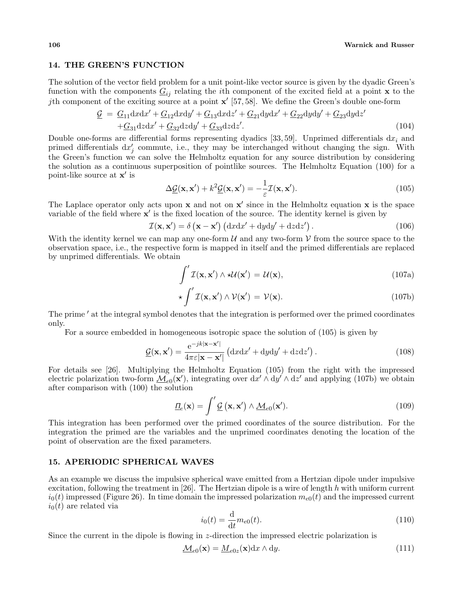#### 14. THE GREEN'S FUNCTION

The solution of the vector field problem for a unit point-like vector source is given by the dyadic Green's function with the components  $\underline{G}_{ij}$  relating the *i*th component of the excited field at a point **x** to the *j*th component of the exciting source at a point  $\mathbf{x}'$  [57, 58]. We define the Green's double one-form

$$
\underline{\mathcal{G}} = \underline{G}_{11} \mathrm{d}x \mathrm{d}x' + \underline{G}_{12} \mathrm{d}x \mathrm{d}y' + \underline{G}_{13} \mathrm{d}x \mathrm{d}z' + \underline{G}_{21} \mathrm{d}y \mathrm{d}x' + \underline{G}_{22} \mathrm{d}y \mathrm{d}y' + \underline{G}_{23} \mathrm{d}y \mathrm{d}z' \n+ \underline{G}_{31} \mathrm{d}z \mathrm{d}x' + \underline{G}_{32} \mathrm{d}z \mathrm{d}y' + \underline{G}_{33} \mathrm{d}z \mathrm{d}z'.
$$
\n(104)

Double one-forms are differential forms representing dyadics [33, 59]. Unprimed differentials  $dx_i$  and primed differentials  $dx'_j$  commute, i.e., they may be interchanged without changing the sign. With the Green's function we can solve the Helmholtz equation for any source distribution by considering the solution as a continuous superposition of pointlike sources. The Helmholtz Equation (100) for a point-like source at  $x'$  is

$$
\Delta \underline{\mathcal{G}}(\mathbf{x}, \mathbf{x}') + k^2 \underline{\mathcal{G}}(\mathbf{x}, \mathbf{x}') = -\frac{1}{\varepsilon} \mathcal{I}(\mathbf{x}, \mathbf{x}'). \tag{105}
$$

The Laplace operator only acts upon  $x$  and not on  $x'$  since in the Helmholtz equation  $x$  is the space variable of the field where  $\mathbf{x}'$  is the fixed location of the source. The identity kernel is given by  $\mathcal{I}(\mathbf{x}, \mathbf{x}') = \delta(\mathbf{x} - \mathbf{x}') (\mathrm{d}x\mathrm{d}x' + \mathrm{d}y\mathrm{d}y' + \mathrm{d}z\mathrm{d}z')$ .

$$
\mathcal{I}(\mathbf{x}, \mathbf{x}') = \delta(\mathbf{x} - \mathbf{x}') \left( dxdx' + dydy' + dzdz' \right).
$$
 (106)

With the identity kernel we can map any one-form  $\mathcal U$  and any two-form  $\mathcal V$  from the source space to the observation space, i.e., the respective form is mapped in itself and the primed differentials are replaced by unprimed differentials. We obtain

$$
\int' \mathcal{I}(\mathbf{x}, \mathbf{x}') \wedge \star \mathcal{U}(\mathbf{x}') = \mathcal{U}(\mathbf{x}),\tag{107a}
$$

$$
\star \int' \mathcal{I}(\mathbf{x}, \mathbf{x}') \wedge \mathcal{V}(\mathbf{x}') = \mathcal{V}(\mathbf{x}). \tag{107b}
$$

The prime  $'$  at the integral symbol denotes that the integration is performed over the primed coordinates only.

For a source embedded in homogeneous isotropic space the solution of (105) is given by

$$
\underline{\mathcal{G}}(\mathbf{x}, \mathbf{x}') = \frac{e^{-jk|\mathbf{x} - \mathbf{x}'|}}{4\pi\varepsilon|\mathbf{x} - \mathbf{x}'|} \left( dx dx' + dy dy' + dz dz' \right).
$$
 (108)

For details see [26]. Multiplying the Helmholtz Equation (105) from the right with the impressed electric polarization two-form  $\underline{\mathcal{M}}_{e0}(\mathbf{x}')$ , integrating over  $dx' \wedge dy' \wedge dz'$  and applying (107b) we obtain after comparison with (100) the solution

$$
\underline{\Pi}_e(\mathbf{x}) = \int' \underline{\mathcal{G}}(\mathbf{x}, \mathbf{x}') \wedge \underline{\mathcal{M}}_{e0}(\mathbf{x}'). \tag{109}
$$

This integration has been performed over the primed coordinates of the source distribution. For the integration the primed are the variables and the unprimed coordinates denoting the location of the point of observation are the fixed parameters.

## 15. APERIODIC SPHERICAL WAVES

As an example we discuss the impulsive spherical wave emitted from a Hertzian dipole under impulsive excitation, following the treatment in [26]. The Hertzian dipole is a wire of length h with uniform current  $i_0(t)$  impressed (Figure 26). In time domain the impressed polarization  $m_{e0}(t)$  and the impressed current  $i_0(t)$  are related via

$$
i_0(t) = \frac{d}{dt} m_{e0}(t).
$$
 (110)

Since the current in the dipole is flowing in  $z$ -direction the impressed electric polarization is

$$
\underline{\mathcal{M}}_{e0}(\mathbf{x}) = \underline{\mathcal{M}}_{e0z}(\mathbf{x}) dx \wedge dy.
$$
\n(111)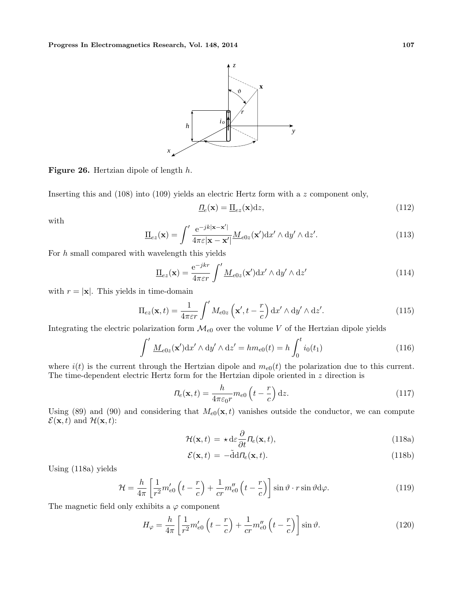

Figure 26. Hertzian dipole of length h.

Inserting this and (108) into (109) yields an electric Hertz form with a z component only,

$$
\underline{\Pi}_e(\mathbf{x}) = \underline{\Pi}_{ez}(\mathbf{x}) \mathrm{d}z,\tag{112}
$$

with

$$
\underline{\Pi}_{ez}(\mathbf{x}) = \int' \frac{e^{-jk|\mathbf{x} - \mathbf{x}'|}}{4\pi \varepsilon |\mathbf{x} - \mathbf{x}'|} \underline{M}_{e0z}(\mathbf{x}') \mathrm{d}x' \wedge \mathrm{d}y' \wedge \mathrm{d}z'. \tag{113}
$$

For  $h$  small compared with wavelength this yields

$$
\underline{\Pi}_{ez}(\mathbf{x}) = \frac{e^{-jkr}}{4\pi\varepsilon r} \int' \underline{M}_{e0z}(\mathbf{x}') \, dx' \wedge dy' \wedge dz'
$$
\n(114)

with  $r = |\mathbf{x}|$ . This yields in time-domain

$$
\Pi_{ez}(\mathbf{x},t) = \frac{1}{4\pi\varepsilon r} \int' M_{e0z} \left(\mathbf{x}', t - \frac{r}{c}\right) dx' \wedge dy' \wedge dz'.
$$
 (115)

Integrating the electric polarization form  $\mathcal{M}_{e0}$  over the volume V of the Hertzian dipole yields

$$
\int' \underline{M}_{e0z}(\mathbf{x}') dx' \wedge dy' \wedge dz' = h m_{e0}(t) = h \int_0^t i_0(t_1)
$$
\n(116)

where  $i(t)$  is the current through the Hertzian dipole and  $m_{e0}(t)$  the polarization due to this current. The time-dependent electric Hertz form for the Hertzian dipole oriented in  $z$  direction is

$$
\Pi_e(\mathbf{x}, t) = \frac{h}{4\pi\varepsilon_0 r} m_{e0} \left( t - \frac{r}{c} \right) dz.
$$
\n(117)

Using (89) and (90) and considering that  $M_{e0}(\mathbf{x}, t)$  vanishes outside the conductor, we can compute  $\mathcal{E}(\mathbf{x}, t)$  and  $\mathcal{H}(\mathbf{x}, t)$ :

$$
\mathcal{H}(\mathbf{x},t) = \star \, \mathrm{d}\varepsilon \frac{\partial}{\partial t} \Pi_e(\mathbf{x},t),\tag{118a}
$$

$$
\mathcal{E}(\mathbf{x},t) = -\tilde{\mathbf{d}} d \Pi_e(\mathbf{x},t). \tag{118b}
$$

Using (118a) yields

$$
\mathcal{H} = \frac{h}{4\pi} \left[ \frac{1}{r^2} m'_{e0} \left( t - \frac{r}{c} \right) + \frac{1}{cr} m''_{e0} \left( t - \frac{r}{c} \right) \right] \sin \vartheta \cdot r \sin \vartheta d\varphi.
$$
 (119)

The magnetic field only exhibits a  $\varphi$  component

$$
H_{\varphi} = \frac{h}{4\pi} \left[ \frac{1}{r^2} m'_{e0} \left( t - \frac{r}{c} \right) + \frac{1}{cr} m''_{e0} \left( t - \frac{r}{c} \right) \right] \sin \vartheta.
$$
 (120)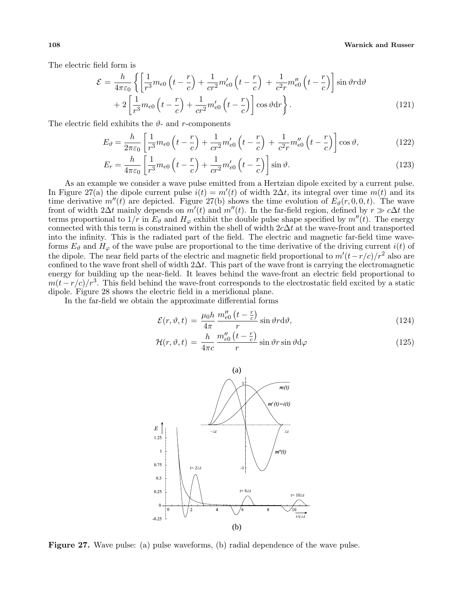#### 108 Warnick and Russer

The electric field form is

$$
\mathcal{E} = \frac{h}{4\pi\varepsilon_0} \left\{ \left[ \frac{1}{r^3} m_{e0} \left( t - \frac{r}{c} \right) + \frac{1}{cr^2} m'_{e0} \left( t - \frac{r}{c} \right) + \frac{1}{c^2 r} m''_{e0} \left( t - \frac{r}{c} \right) \right] \sin \vartheta r d\vartheta \right. \\ \left. + 2 \left[ \frac{1}{r^3} m_{e0} \left( t - \frac{r}{c} \right) + \frac{1}{cr^2} m'_{e0} \left( t - \frac{r}{c} \right) \right] \cos \vartheta dr \right\} . \tag{121}
$$

The electric field exhibits the  $\vartheta$ - and r-components

$$
E_{\vartheta} = \frac{h}{2\pi\varepsilon_0} \left[ \frac{1}{r^3} m_{e0} \left( t - \frac{r}{c} \right) + \frac{1}{cr^2} m'_{e0} \left( t - \frac{r}{c} \right) + \frac{1}{c^2 r} m''_{e0} \left( t - \frac{r}{c} \right) \right] \cos\vartheta, \tag{122}
$$

$$
E_r = \frac{h}{4\pi\varepsilon_0} \left[ \frac{1}{r^3} m_{e0} \left( t - \frac{r}{c} \right) + \frac{1}{cr^2} m'_{e0} \left( t - \frac{r}{c} \right) \right] \sin \vartheta.
$$
 (123)

As an example we consider a wave pulse emitted from a Hertzian dipole excited by a current pulse. In Figure 27(a) the dipole current pulse  $i(t) = m'(t)$  of width 2∆t, its integral over time  $m(t)$  and its time derivative  $m''(t)$  are depicted. Figure 27(b) shows the time evolution of  $E_{\vartheta}(r,0,0,t)$ . The wave front of width 2∆t mainly depends on  $m'(t)$  and  $m''(t)$ . In the far-field region, defined by  $r \gg c\Delta t$  the terms proportional to  $1/r$  in  $E_{\vartheta}$  and  $H_{\varphi}$  exhibit the double pulse shape specified by  $m''(t)$ . The energy connected with this term is constrained within the shell of width  $2c\Delta t$  at the wave-front and transported into the infinity. This is the radiated part of the field. The electric and magnetic far-field time waveforms  $E_{\vartheta}$  and  $H_{\varphi}$  of the wave pulse are proportional to the time derivative of the driving current  $i(t)$  of the dipole. The near field parts of the electric and magnetic field proportional to  $m'(t-r/c)/r^2$  also are confined to the wave front shell of width  $2\Delta t$ . This part of the wave front is carrying the electromagnetic energy for building up the near-field. It leaves behind the wave-front an electric field proportional to  $m(t-r/c)/r^3$ . This field behind the wave-front corresponds to the electrostatic field excited by a static dipole. Figure 28 shows the electric field in a meridional plane.

In the far-field we obtain the approximate differential forms ¡ ¢

$$
\mathcal{E}(r,\vartheta,t) = \frac{\mu_0 h}{4\pi} \frac{m_{e0}''(t-\frac{r}{c})}{r} \sin \vartheta r d\vartheta, \qquad (124)
$$

$$
\mathcal{H}(r,\vartheta,t) = \frac{h}{4\pi c} \frac{m_{e0}''(t-\frac{r}{c})}{r} \sin \vartheta r \sin \vartheta d\varphi \qquad (125)
$$



Figure 27. Wave pulse: (a) pulse waveforms, (b) radial dependence of the wave pulse.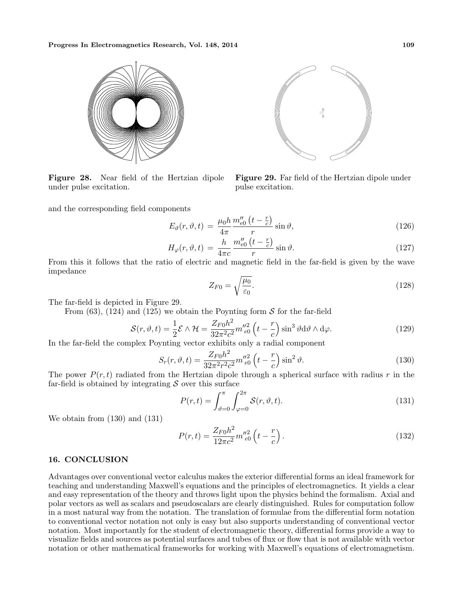

Figure 28. Near field of the Hertzian dipole under pulse excitation.

and the corresponding field components

$$
\left(\begin{array}{c} \bullet \\ \bullet \\ \bullet \end{array}\right)
$$

Figure 29. Far field of the Hertzian dipole under pulse excitation.

$$
E_{\vartheta}(r,\vartheta,t) = \frac{\mu_0 h}{4\pi} \frac{m_{e0}''(t-\frac{r}{c})}{r} \sin \vartheta, \qquad (126)
$$

$$
H_{\varphi}(r,\vartheta,t) = \frac{h}{4\pi c} \frac{m_{e0}''\left(t - \frac{r}{c}\right)}{r} \sin \vartheta. \tag{127}
$$

From this it follows that the ratio of electric and magnetic field in the far-field is given by the wave impedance

$$
Z_{F0} = \sqrt{\frac{\mu_0}{\varepsilon_0}}.\tag{128}
$$

The far-field is depicted in Figure 29.

From (63), (124) and (125) we obtain the Poynting form  $S$  for the far-field

$$
S(r,\vartheta,t) = \frac{1}{2}\mathcal{E}\wedge\mathcal{H} = \frac{Z_{F0}h^2}{32\pi^2c^2}m''_{e0}^2\left(t-\frac{r}{c}\right)\sin^3\vartheta d\vartheta\wedge d\varphi.
$$
 (129)

In the far-field the complex Poynting vector exhibits only a radial component

$$
S_r(r, \vartheta, t) = \frac{Z_{F0}h^2}{32\pi^2 r^2 c^2} m''_{e0}^2 \left( t - \frac{r}{c} \right) \sin^2 \vartheta.
$$
 (130)

The power  $P(r, t)$  radiated from the Hertzian dipole through a spherical surface with radius r in the far-field is obtained by integrating  $\mathcal S$  over this surface

$$
P(r,t) = \int_{\vartheta=0}^{\pi} \int_{\varphi=0}^{2\pi} \mathcal{S}(r,\vartheta,t). \tag{131}
$$

We obtain from (130) and (131)

$$
P(r,t) = \frac{Z_{F0}h^2}{12\pi c^2} m''_{e0}^2 \left( t - \frac{r}{c} \right). \tag{132}
$$

## 16. CONCLUSION

Advantages over conventional vector calculus makes the exterior differential forms an ideal framework for teaching and understanding Maxwell's equations and the principles of electromagnetics. It yields a clear and easy representation of the theory and throws light upon the physics behind the formalism. Axial and polar vectors as well as scalars and pseudoscalars are clearly distinguished. Rules for computation follow in a most natural way from the notation. The translation of formulae from the differential form notation to conventional vector notation not only is easy but also supports understanding of conventional vector notation. Most importantly for the student of electromagnetic theory, differential forms provide a way to visualize fields and sources as potential surfaces and tubes of flux or flow that is not available with vector notation or other mathematical frameworks for working with Maxwell's equations of electromagnetism.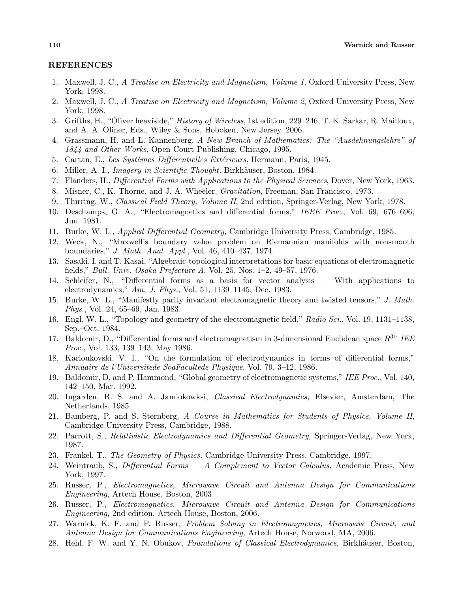### REFERENCES

- 1. Maxwell, J. C., A Treatise on Electricity and Magnetism, Volume 1, Oxford University Press, New York, 1998.
- 2. Maxwell, J. C., A Treatise on Electricity and Magnetism, Volume 2, Oxford University Press, New York, 1998.
- 3. Grifths, H., "Oliver heaviside," History of Wireless, 1st edition, 229–246, T. K. Sarkar, R. Mailloux, and A. A. Oliner, Eds., Wiley & Sons, Hoboken, New Jersey, 2006.
- 4. Grassmann, H. and L. Kannenberg, A New Branch of Mathematics: The "Ausdehnungslehre" of 1844 and Other Works, Open Court Publishing, Chicago, 1995.
- 5. Cartan, E., Les Systèmes Différentielles Extérieurs, Hermann, Paris, 1945.
- 6. Miller, A. I., Imagery in Scientific Thought, Birkhäuser, Boston, 1984.
- 7. Flanders, H., Differential Forms with Applications to the Physical Sciences, Dover, New York, 1963.
- 8. Misner, C., K. Thorne, and J. A. Wheeler, Gravitation, Freeman, San Francisco, 1973.
- 9. Thirring, W., Classical Field Theory, Volume II, 2nd edition, Springer-Verlag, New York, 1978.
- 10. Deschamps, G. A., "Electromagnetics and differential forms," IEEE Proc., Vol. 69, 676–696, Jun. 1981.
- 11. Burke, W. L., Applied Differential Geometry, Cambridge University Press, Cambridge, 1985.
- 12. Weck, N., "Maxwell's boundary value problem on Riemannian manifolds with nonsmooth boundaries," J. Math. Anal. Appl., Vol. 46, 410–437, 1974.
- 13. Sasaki, I. and T. Kasai, "Algebraic-topological interpretations for basic equations of electromagnetic fields," Bull. Univ. Osaka Prefecture A, Vol. 25, Nos. 1–2, 49–57, 1976.
- 14. Schleifer, N., "Differential forms as a basis for vector analysis With applications to electrodynamics," Am. J. Phys., Vol. 51, 1139–1145, Dec. 1983.
- 15. Burke, W. L., "Manifestly parity invariant electromagnetic theory and twisted tensors," J. Math. Phys., Vol. 24, 65–69, Jan. 1983.
- 16. Engl, W. L., "Topology and geometry of the electromagnetic field," Radio Sci., Vol. 19, 1131–1138, Sep.–Oct. 1984.
- 17. Baldomir, D., "Differential forms and electromagnetism in 3-dimensional Euclidean space  $R^{3n}$  IEE Proc., Vol. 133, 139–143, May 1986.
- 18. Karloukovski, V. I., "On the formulation of electrodynamics in terms of differential forms," Annuaire de l'Universitede SoaFacultede Physique, Vol. 79, 3–12, 1986.
- 19. Baldomir, D. and P. Hammond, "Global geometry of electromagnetic systems," IEE Proc., Vol. 140, 142–150, Mar. 1992.
- 20. Ingarden, R. S. and A. Jamiokowksi, Classical Electrodynamics, Elsevier, Amsterdam, The Netherlands, 1985.
- 21. Bamberg, P. and S. Sternberg, A Course in Mathematics for Students of Physics, Volume II, Cambridge University Press, Cambridge, 1988.
- 22. Parrott, S., Relativistic Electrodynamics and Differential Geometry, Springer-Verlag, New York, 1987.
- 23. Frankel, T., The Geometry of Physics, Cambridge University Press, Cambridge, 1997.
- 24. Weintraub, S., Differential Forms A Complement to Vector Calculus, Academic Press, New York, 1997.
- 25. Russer, P., Electromagnetics, Microwave Circuit and Antenna Design for Communications Engineering, Artech House, Boston, 2003.
- 26. Russer, P., Electromagnetics, Microwave Circuit and Antenna Design for Communications Engineering, 2nd edition, Artech House, Boston, 2006.
- 27. Warnick, K. F. and P. Russer, Problem Solving in Electromagnetics, Microwave Circuit, and Antenna Design for Communications Engineering, Artech House, Norwood, MA, 2006.
- 28. Hehl, F. W. and Y. N. Obukov, Foundations of Classical Electrodynamics, Birkhäuser, Boston,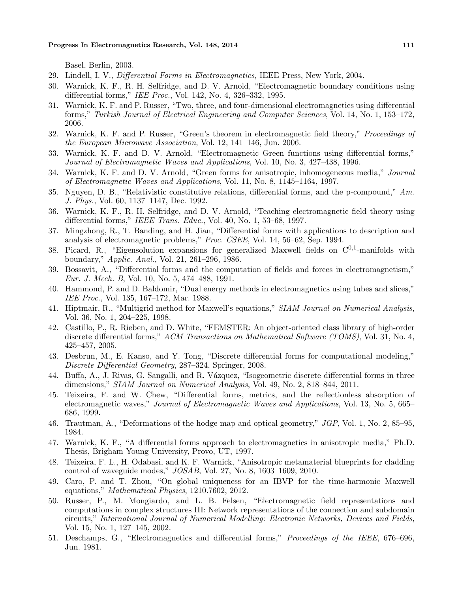Basel, Berlin, 2003.

- 29. Lindell, I. V., Differential Forms in Electromagnetics, IEEE Press, New York, 2004.
- 30. Warnick, K. F., R. H. Selfridge, and D. V. Arnold, "Electromagnetic boundary conditions using differential forms," IEE Proc., Vol. 142, No. 4, 326–332, 1995.
- 31. Warnick, K. F. and P. Russer, "Two, three, and four-dimensional electromagnetics using differential forms," Turkish Journal of Electrical Engineering and Computer Sciences, Vol. 14, No. 1, 153–172, 2006.
- 32. Warnick, K. F. and P. Russer, "Green's theorem in electromagnetic field theory," Proceedings of the European Microwave Association, Vol. 12, 141–146, Jun. 2006.
- 33. Warnick, K. F. and D. V. Arnold, "Electromagnetic Green functions using differential forms," Journal of Electromagnetic Waves and Applications, Vol. 10, No. 3, 427–438, 1996.
- 34. Warnick, K. F. and D. V. Arnold, "Green forms for anisotropic, inhomogeneous media," Journal of Electromagnetic Waves and Applications, Vol. 11, No. 8, 1145–1164, 1997.
- 35. Nguyen, D. B., "Relativistic constitutive relations, differential forms, and the p-compound," Am. J. Phys., Vol. 60, 1137–1147, Dec. 1992.
- 36. Warnick, K. F., R. H. Selfridge, and D. V. Arnold, "Teaching electromagnetic field theory using differential forms," IEEE Trans. Educ., Vol. 40, No. 1, 53–68, 1997.
- 37. Mingzhong, R., T. Banding, and H. Jian, "Differential forms with applications to description and analysis of electromagnetic problems," Proc. CSEE, Vol. 14, 56–62, Sep. 1994.
- 38. Picard, R., "Eigensolution expansions for generalized Maxwell fields on  $C^{0,1}$ -manifolds with boundary," Applic. Anal., Vol. 21, 261–296, 1986.
- 39. Bossavit, A., "Differential forms and the computation of fields and forces in electromagnetism," Eur. J. Mech. B, Vol. 10, No. 5, 474–488, 1991.
- 40. Hammond, P. and D. Baldomir, "Dual energy methods in electromagnetics using tubes and slices," IEE Proc., Vol. 135, 167–172, Mar. 1988.
- 41. Hiptmair, R., "Multigrid method for Maxwell's equations," SIAM Journal on Numerical Analysis, Vol. 36, No. 1, 204–225, 1998.
- 42. Castillo, P., R. Rieben, and D. White, "FEMSTER: An object-oriented class library of high-order discrete differential forms," ACM Transactions on Mathematical Software (TOMS), Vol. 31, No. 4, 425–457, 2005.
- 43. Desbrun, M., E. Kanso, and Y. Tong, "Discrete differential forms for computational modeling," Discrete Differential Geometry, 287–324, Springer, 2008.
- 44. Buffa, A., J. Rivas, G. Sangalli, and R. Vázquez, "Isogeometric discrete differential forms in three dimensions," SIAM Journal on Numerical Analysis, Vol. 49, No. 2, 818–844, 2011.
- 45. Teixeira, F. and W. Chew, "Differential forms, metrics, and the reflectionless absorption of electromagnetic waves," Journal of Electromagnetic Waves and Applications, Vol. 13, No. 5, 665– 686, 1999.
- 46. Trautman, A., "Deformations of the hodge map and optical geometry," JGP, Vol. 1, No. 2, 85–95, 1984.
- 47. Warnick, K. F., "A differential forms approach to electromagnetics in anisotropic media," Ph.D. Thesis, Brigham Young University, Provo, UT, 1997.
- 48. Teixeira, F. L., H. Odabasi, and K. F. Warnick, "Anisotropic metamaterial blueprints for cladding control of waveguide modes," JOSAB, Vol. 27, No. 8, 1603–1609, 2010.
- 49. Caro, P. and T. Zhou, "On global uniqueness for an IBVP for the time-harmonic Maxwell equations," Mathematical Physics, 1210.7602, 2012.
- 50. Russer, P., M. Mongiardo, and L. B. Felsen, "Electromagnetic field representations and computations in complex structures III: Network representations of the connection and subdomain circuits," International Journal of Numerical Modelling: Electronic Networks, Devices and Fields, Vol. 15, No. 1, 127–145, 2002.
- 51. Deschamps, G., "Electromagnetics and differential forms," Proceedings of the IEEE, 676–696, Jun. 1981.